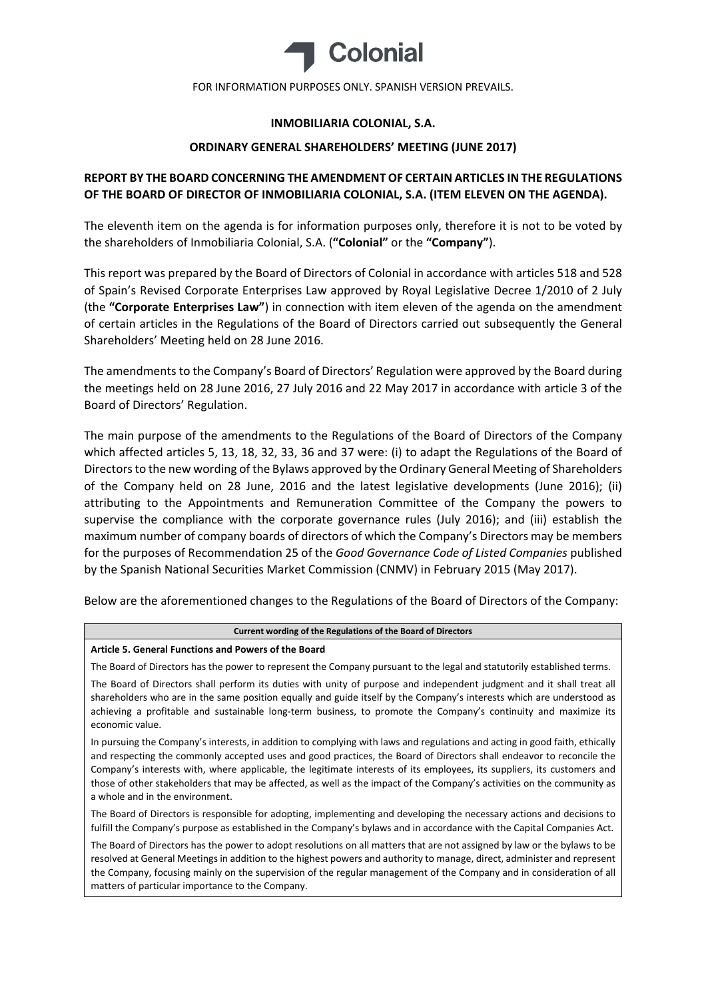

FOR INFORMATION PURPOSES ONLY. SPANISH VERSION PREVAILS.

# **INMOBILIARIA COLONIAL, S.A.**

## **ORDINARY GENERAL SHAREHOLDERS' MEETING (JUNE 2017)**

# **REPORT BY THE BOARD CONCERNING THE AMENDMENT OF CERTAIN ARTICLES IN THE REGULATIONS OF THE BOARD OF DIRECTOR OF INMOBILIARIA COLONIAL, S.A. (ITEM ELEVEN ON THE AGENDA).**

The eleventh item on the agenda is for information purposes only, therefore it is not to be voted by the shareholders of Inmobiliaria Colonial, S.A. (**"Colonial"** or the **"Company"**).

This report was prepared by the Board of Directors of Colonial in accordance with articles 518 and 528 of Spain's Revised Corporate Enterprises Law approved by Royal Legislative Decree 1/2010 of 2 July (the **"Corporate Enterprises Law"**) in connection with item eleven of the agenda on the amendment of certain articles in the Regulations of the Board of Directors carried out subsequently the General Shareholders' Meeting held on 28 June 2016.

The amendments to the Company's Board of Directors' Regulation were approved by the Board during the meetings held on 28 June 2016, 27 July 2016 and 22 May 2017 in accordance with article 3 of the Board of Directors' Regulation.

The main purpose of the amendments to the Regulations of the Board of Directors of the Company which affected articles 5, 13, 18, 32, 33, 36 and 37 were: (i) to adapt the Regulations of the Board of Directors to the new wording of the Bylaws approved by the Ordinary General Meeting of Shareholders of the Company held on 28 June, 2016 and the latest legislative developments (June 2016); (ii) attributing to the Appointments and Remuneration Committee of the Company the powers to supervise the compliance with the corporate governance rules (July 2016); and (iii) establish the maximum number of company boards of directors of which the Company's Directors may be members for the purposes of Recommendation 25 of the *Good Governance Code of Listed Companies* published by the Spanish National Securities Market Commission (CNMV) in February 2015 (May 2017).

Below are the aforementioned changes to the Regulations of the Board of Directors of the Company:

#### **Current wording of the Regulations of the Board of Directors**

#### **Article 5. General Functions and Powers of the Board**

The Board of Directors has the power to represent the Company pursuant to the legal and statutorily established terms.

The Board of Directors shall perform its duties with unity of purpose and independent judgment and it shall treat all shareholders who are in the same position equally and guide itself by the Company's interests which are understood as achieving a profitable and sustainable long-term business, to promote the Company's continuity and maximize its economic value.

In pursuing the Company's interests, in addition to complying with laws and regulations and acting in good faith, ethically and respecting the commonly accepted uses and good practices, the Board of Directors shall endeavor to reconcile the Company's interests with, where applicable, the legitimate interests of its employees, its suppliers, its customers and those of other stakeholders that may be affected, as well as the impact of the Company's activities on the community as a whole and in the environment.

The Board of Directors is responsible for adopting, implementing and developing the necessary actions and decisions to fulfill the Company's purpose as established in the Company's bylaws and in accordance with the Capital Companies Act.

The Board of Directors has the power to adopt resolutions on all matters that are not assigned by law or the bylaws to be resolved at General Meetings in addition to the highest powers and authority to manage, direct, administer and represent the Company, focusing mainly on the supervision of the regular management of the Company and in consideration of all matters of particular importance to the Company.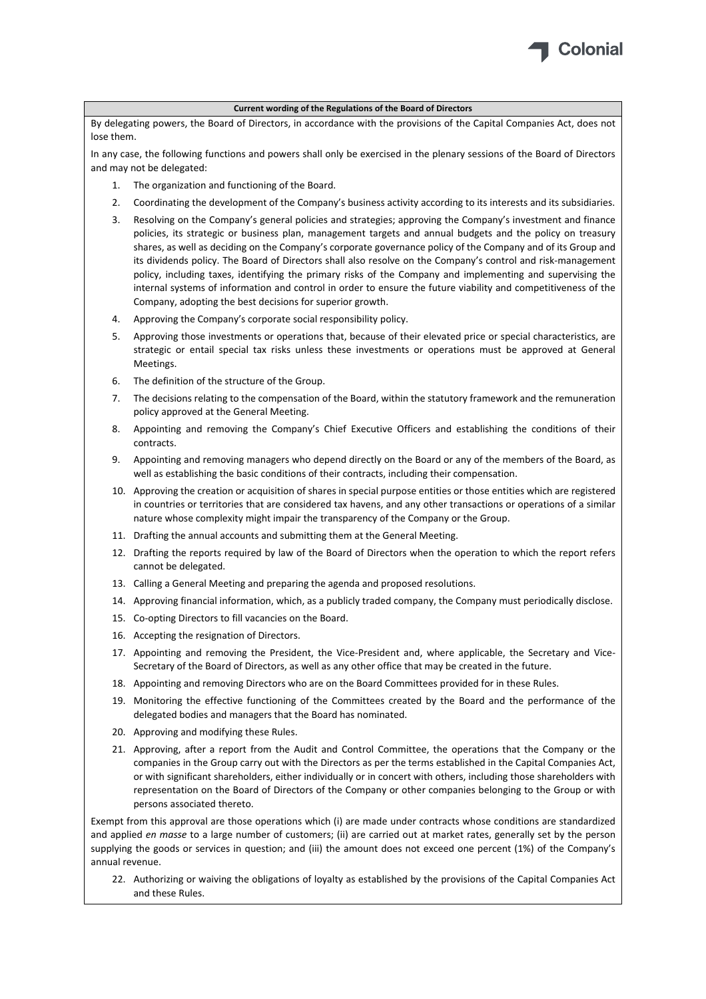

By delegating powers, the Board of Directors, in accordance with the provisions of the Capital Companies Act, does not lose them.

In any case, the following functions and powers shall only be exercised in the plenary sessions of the Board of Directors and may not be delegated:

- 1. The organization and functioning of the Board.
- 2. Coordinating the development of the Company's business activity according to its interests and its subsidiaries.
- 3. Resolving on the Company's general policies and strategies; approving the Company's investment and finance policies, its strategic or business plan, management targets and annual budgets and the policy on treasury shares, as well as deciding on the Company's corporate governance policy of the Company and of its Group and its dividends policy. The Board of Directors shall also resolve on the Company's control and risk‐management policy, including taxes, identifying the primary risks of the Company and implementing and supervising the internal systems of information and control in order to ensure the future viability and competitiveness of the Company, adopting the best decisions for superior growth.
- 4. Approving the Company's corporate social responsibility policy.
- 5. Approving those investments or operations that, because of their elevated price or special characteristics, are strategic or entail special tax risks unless these investments or operations must be approved at General Meetings.
- 6. The definition of the structure of the Group.
- 7. The decisions relating to the compensation of the Board, within the statutory framework and the remuneration policy approved at the General Meeting.
- 8. Appointing and removing the Company's Chief Executive Officers and establishing the conditions of their contracts.
- 9. Appointing and removing managers who depend directly on the Board or any of the members of the Board, as well as establishing the basic conditions of their contracts, including their compensation.
- 10. Approving the creation or acquisition of shares in special purpose entities or those entities which are registered in countries or territories that are considered tax havens, and any other transactions or operations of a similar nature whose complexity might impair the transparency of the Company or the Group.
- 11. Drafting the annual accounts and submitting them at the General Meeting.
- 12. Drafting the reports required by law of the Board of Directors when the operation to which the report refers cannot be delegated.
- 13. Calling a General Meeting and preparing the agenda and proposed resolutions.
- 14. Approving financial information, which, as a publicly traded company, the Company must periodically disclose.
- 15. Co-opting Directors to fill vacancies on the Board.
- 16. Accepting the resignation of Directors.
- 17. Appointing and removing the President, the Vice-President and, where applicable, the Secretary and Vice-Secretary of the Board of Directors, as well as any other office that may be created in the future.
- 18. Appointing and removing Directors who are on the Board Committees provided for in these Rules.
- 19. Monitoring the effective functioning of the Committees created by the Board and the performance of the delegated bodies and managers that the Board has nominated.
- 20. Approving and modifying these Rules.
- 21. Approving, after a report from the Audit and Control Committee, the operations that the Company or the companies in the Group carry out with the Directors as per the terms established in the Capital Companies Act, or with significant shareholders, either individually or in concert with others, including those shareholders with representation on the Board of Directors of the Company or other companies belonging to the Group or with persons associated thereto.

Exempt from this approval are those operations which (i) are made under contracts whose conditions are standardized and applied *en masse* to a large number of customers; (ii) are carried out at market rates, generally set by the person supplying the goods or services in question; and (iii) the amount does not exceed one percent (1%) of the Company's annual revenue.

22. Authorizing or waiving the obligations of loyalty as established by the provisions of the Capital Companies Act and these Rules.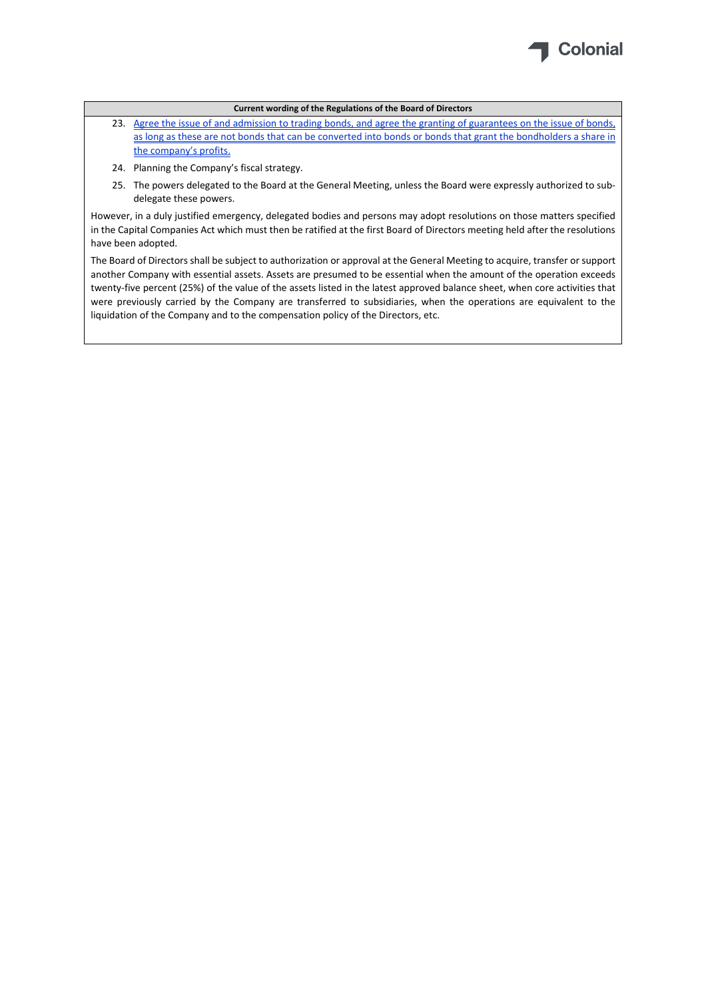

- 23. Agree the issue of and admission to trading bonds, and agree the granting of guarantees on the issue of bonds, as long as these are not bonds that can be converted into bonds or bonds that grant the bondholders a share in the company's profits.
- 24. Planning the Company's fiscal strategy.
- 25. The powers delegated to the Board at the General Meeting, unless the Board were expressly authorized to sub‐ delegate these powers.

However, in a duly justified emergency, delegated bodies and persons may adopt resolutions on those matters specified in the Capital Companies Act which must then be ratified at the first Board of Directors meeting held after the resolutions have been adopted.

The Board of Directors shall be subject to authorization or approval at the General Meeting to acquire, transfer or support another Company with essential assets. Assets are presumed to be essential when the amount of the operation exceeds twenty-five percent (25%) of the value of the assets listed in the latest approved balance sheet, when core activities that were previously carried by the Company are transferred to subsidiaries, when the operations are equivalent to the liquidation of the Company and to the compensation policy of the Directors, etc.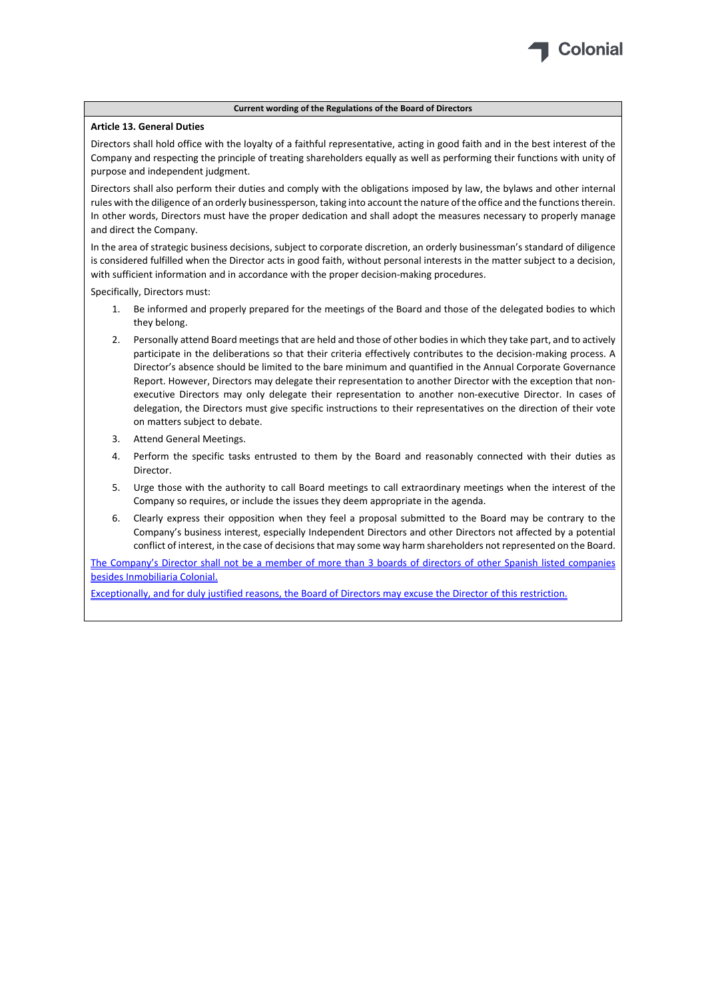

#### **Article 13. General Duties**

Directors shall hold office with the loyalty of a faithful representative, acting in good faith and in the best interest of the Company and respecting the principle of treating shareholders equally as well as performing their functions with unity of purpose and independent judgment.

Directors shall also perform their duties and comply with the obligations imposed by law, the bylaws and other internal rules with the diligence of an orderly businessperson, taking into account the nature of the office and the functionstherein. In other words, Directors must have the proper dedication and shall adopt the measures necessary to properly manage and direct the Company.

In the area of strategic business decisions, subject to corporate discretion, an orderly businessman's standard of diligence is considered fulfilled when the Director acts in good faith, without personal interests in the matter subject to a decision, with sufficient information and in accordance with the proper decision-making procedures.

Specifically, Directors must:

- 1. Be informed and properly prepared for the meetings of the Board and those of the delegated bodies to which they belong.
- 2. Personally attend Board meetings that are held and those of other bodies in which they take part, and to actively participate in the deliberations so that their criteria effectively contributes to the decision-making process. A Director's absence should be limited to the bare minimum and quantified in the Annual Corporate Governance Report. However, Directors may delegate their representation to another Director with the exception that non‐ executive Directors may only delegate their representation to another non-executive Director. In cases of delegation, the Directors must give specific instructions to their representatives on the direction of their vote on matters subject to debate.
- 3. Attend General Meetings.
- 4. Perform the specific tasks entrusted to them by the Board and reasonably connected with their duties as Director.
- 5. Urge those with the authority to call Board meetings to call extraordinary meetings when the interest of the Company so requires, or include the issues they deem appropriate in the agenda.
- 6. Clearly express their opposition when they feel a proposal submitted to the Board may be contrary to the Company's business interest, especially Independent Directors and other Directors not affected by a potential conflict of interest, in the case of decisionsthat may some way harm shareholders not represented on the Board.

The Company's Director shall not be a member of more than 3 boards of directors of other Spanish listed companies besides Inmobiliaria Colonial.

Exceptionally, and for duly justified reasons, the Board of Directors may excuse the Director of this restriction.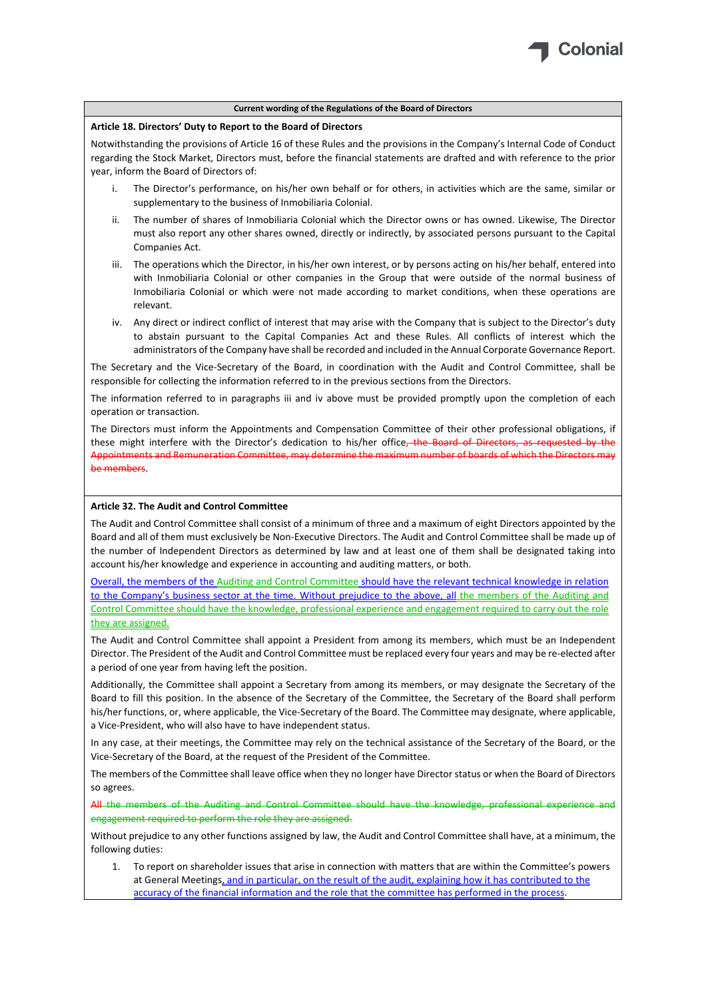

#### **Article 18. Directors' Duty to Report to the Board of Directors**

Notwithstanding the provisions of Article 16 of these Rules and the provisions in the Company's Internal Code of Conduct regarding the Stock Market, Directors must, before the financial statements are drafted and with reference to the prior year, inform the Board of Directors of:

- i. The Director's performance, on his/her own behalf or for others, in activities which are the same, similar or supplementary to the business of Inmobiliaria Colonial.
- The number of shares of Inmobiliaria Colonial which the Director owns or has owned. Likewise, The Director must also report any other shares owned, directly or indirectly, by associated persons pursuant to the Capital Companies Act.
- iii. The operations which the Director, in his/her own interest, or by persons acting on his/her behalf, entered into with Inmobiliaria Colonial or other companies in the Group that were outside of the normal business of Inmobiliaria Colonial or which were not made according to market conditions, when these operations are relevant.
- iv. Any direct or indirect conflict of interest that may arise with the Company that is subject to the Director's duty to abstain pursuant to the Capital Companies Act and these Rules. All conflicts of interest which the administrators of the Company have shall be recorded and included in the Annual Corporate Governance Report.

The Secretary and the Vice-Secretary of the Board, in coordination with the Audit and Control Committee, shall be responsible for collecting the information referred to in the previous sections from the Directors.

The information referred to in paragraphs iii and iv above must be provided promptly upon the completion of each operation or transaction.

The Directors must inform the Appointments and Compensation Committee of their other professional obligations, if these might interfere with the Director's dedication to his/her office, the Board of Directors, as requested by the Appointments and Remuneration Committee, may determine the maximum number of boards of which the Directors n be members.

#### **Article 32. The Audit and Control Committee**

The Audit and Control Committee shall consist of a minimum of three and a maximum of eight Directors appointed by the Board and all of them must exclusively be Non‐Executive Directors. The Audit and Control Committee shall be made up of the number of Independent Directors as determined by law and at least one of them shall be designated taking into account his/her knowledge and experience in accounting and auditing matters, or both.

Overall, the members of the Auditing and Control Committee should have the relevant technical knowledge in relation to the Company's business sector at the time. Without prejudice to the above, all the members of the Auditing and Control Committee should have the knowledge, professional experience and engagement required to carry out the role they are assigned.

The Audit and Control Committee shall appoint a President from among its members, which must be an Independent Director. The President of the Audit and Control Committee must be replaced every four years and may be re‐elected after a period of one year from having left the position.

Additionally, the Committee shall appoint a Secretary from among its members, or may designate the Secretary of the Board to fill this position. In the absence of the Secretary of the Committee, the Secretary of the Board shall perform his/her functions, or, where applicable, the Vice-Secretary of the Board. The Committee may designate, where applicable, a Vice‐President, who will also have to have independent status.

In any case, at their meetings, the Committee may rely on the technical assistance of the Secretary of the Board, or the Vice‐Secretary of the Board, at the request of the President of the Committee.

The members of the Committee shall leave office when they no longer have Directorstatus or when the Board of Directors so agrees.

All the members of the Auditing and Control Committee should have the knowledge, professional experience and engagement required to perform the role they are assigned.

Without prejudice to any other functions assigned by law, the Audit and Control Committee shall have, at a minimum, the following duties:

1. To report on shareholder issues that arise in connection with matters that are within the Committee's powers at General Meetings, and in particular, on the result of the audit, explaining how it has contributed to the accuracy of the financial information and the role that the committee has performed in the process.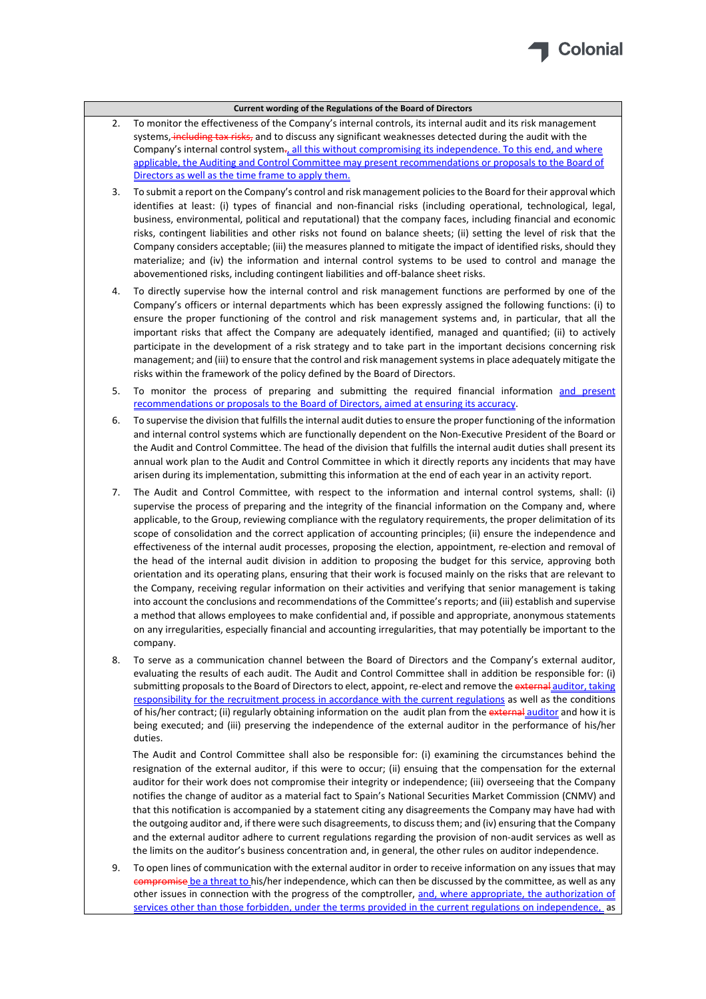

- 2. To monitor the effectiveness of the Company's internal controls, its internal audit and its risk management systems, including tax risks, and to discuss any significant weaknesses detected during the audit with the Company's internal control system., all this without compromising its independence. To this end, and where applicable, the Auditing and Control Committee may present recommendations or proposals to the Board of Directors as well as the time frame to apply them.
- 3. To submit a report on the Company's control and risk management policiesto the Board for their approval which identifies at least: (i) types of financial and non-financial risks (including operational, technological, legal, business, environmental, political and reputational) that the company faces, including financial and economic risks, contingent liabilities and other risks not found on balance sheets; (ii) setting the level of risk that the Company considers acceptable; (iii) the measures planned to mitigate the impact of identified risks, should they materialize; and (iv) the information and internal control systems to be used to control and manage the abovementioned risks, including contingent liabilities and off‐balance sheet risks.
- 4. To directly supervise how the internal control and risk management functions are performed by one of the Company's officers or internal departments which has been expressly assigned the following functions: (i) to ensure the proper functioning of the control and risk management systems and, in particular, that all the important risks that affect the Company are adequately identified, managed and quantified; (ii) to actively participate in the development of a risk strategy and to take part in the important decisions concerning risk management; and (iii) to ensure that the control and risk management systems in place adequately mitigate the risks within the framework of the policy defined by the Board of Directors.
- 5. To monitor the process of preparing and submitting the required financial information and present recommendations or proposals to the Board of Directors, aimed at ensuring its accuracy.
- 6. To supervise the division that fulfillsthe internal audit dutiesto ensure the proper functioning of the information and internal control systems which are functionally dependent on the Non‐Executive President of the Board or the Audit and Control Committee. The head of the division that fulfills the internal audit duties shall present its annual work plan to the Audit and Control Committee in which it directly reports any incidents that may have arisen during its implementation, submitting this information at the end of each year in an activity report.
- 7. The Audit and Control Committee, with respect to the information and internal control systems, shall: (i) supervise the process of preparing and the integrity of the financial information on the Company and, where applicable, to the Group, reviewing compliance with the regulatory requirements, the proper delimitation of its scope of consolidation and the correct application of accounting principles; (ii) ensure the independence and effectiveness of the internal audit processes, proposing the election, appointment, re‐election and removal of the head of the internal audit division in addition to proposing the budget for this service, approving both orientation and its operating plans, ensuring that their work is focused mainly on the risks that are relevant to the Company, receiving regular information on their activities and verifying that senior management is taking into account the conclusions and recommendations of the Committee's reports; and (iii) establish and supervise a method that allows employees to make confidential and, if possible and appropriate, anonymous statements on any irregularities, especially financial and accounting irregularities, that may potentially be important to the company.
- 8. To serve as a communication channel between the Board of Directors and the Company's external auditor, evaluating the results of each audit. The Audit and Control Committee shall in addition be responsible for: (i) submitting proposals to the Board of Directors to elect, appoint, re-elect and remove the external auditor, taking responsibility for the recruitment process in accordance with the current regulations as well as the conditions of his/her contract; (ii) regularly obtaining information on the audit plan from the external auditor and how it is being executed; and (iii) preserving the independence of the external auditor in the performance of his/her duties.

The Audit and Control Committee shall also be responsible for: (i) examining the circumstances behind the resignation of the external auditor, if this were to occur; (ii) ensuing that the compensation for the external auditor for their work does not compromise their integrity or independence; (iii) overseeing that the Company notifies the change of auditor as a material fact to Spain's National Securities Market Commission (CNMV) and that this notification is accompanied by a statement citing any disagreements the Company may have had with the outgoing auditor and, if there were such disagreements, to discussthem; and (iv) ensuring that the Company and the external auditor adhere to current regulations regarding the provision of non-audit services as well as the limits on the auditor's business concentration and, in general, the other rules on auditor independence.

9. To open lines of communication with the external auditor in order to receive information on any issues that may compromise be a threat to his/her independence, which can then be discussed by the committee, as well as any other issues in connection with the progress of the comptroller, and, where appropriate, the authorization of services other than those forbidden, under the terms provided in the current regulations on independence, as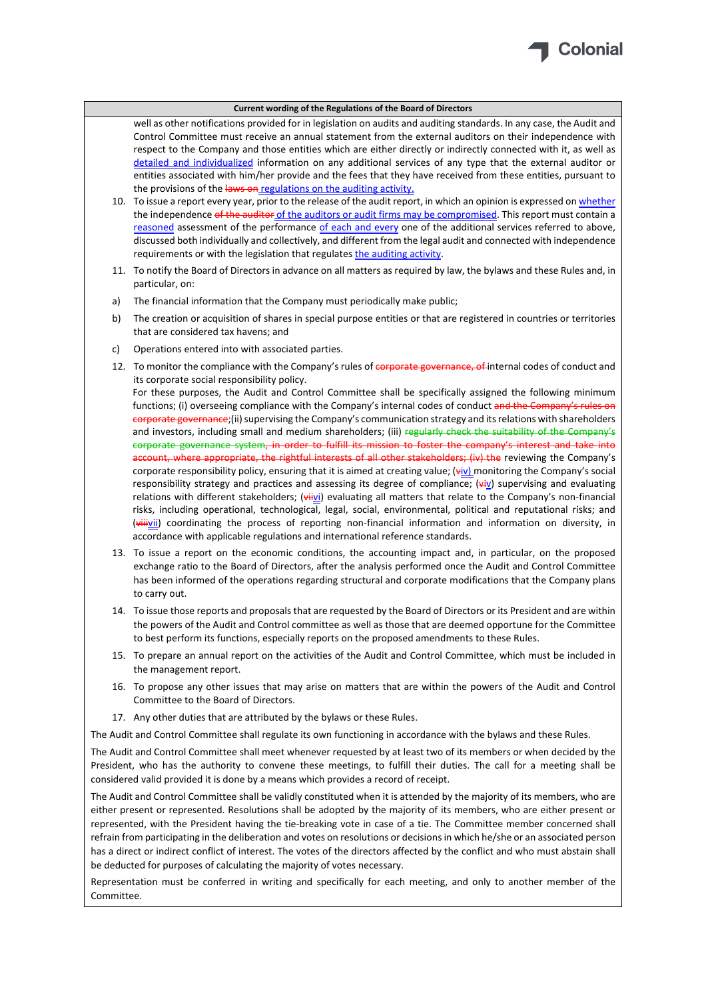

well as other notifications provided for in legislation on audits and auditing standards. In any case, the Audit and Control Committee must receive an annual statement from the external auditors on their independence with respect to the Company and those entities which are either directly or indirectly connected with it, as well as detailed and individualized information on any additional services of any type that the external auditor or entities associated with him/her provide and the fees that they have received from these entities, pursuant to the provisions of the laws on regulations on the auditing activity.

- 10. To issue a report every year, prior to the release of the audit report, in which an opinion is expressed on whether the independence of the auditor of the auditors or audit firms may be compromised. This report must contain a reasoned assessment of the performance of each and every one of the additional services referred to above, discussed both individually and collectively, and different from the legal audit and connected with independence requirements or with the legislation that regulates the auditing activity.
- 11. To notify the Board of Directors in advance on all matters as required by law, the bylaws and these Rules and, in particular, on:
- a) The financial information that the Company must periodically make public;
- b) The creation or acquisition of shares in special purpose entities or that are registered in countries or territories that are considered tax havens; and
- c) Operations entered into with associated parties.
- 12. To monitor the compliance with the Company's rules of corporate governance, of internal codes of conduct and its corporate social responsibility policy. For these purposes, the Audit and Control Committee shall be specifically assigned the following minimum functions; (i) overseeing compliance with the Company's internal codes of conduct and the Company's rules on corporate governance;(ii) supervising the Company's communication strategy and its relations with shareholders and investors, including small and medium shareholders; (iii) regularly check the suitability of the Company's corporate governance system, in order to fulfill its mission to foster the company's interest and take into account, where appropriate, the rightful interests of all other stakeholders; (iv) the reviewing the Company's corporate responsibility policy, ensuring that it is aimed at creating value; (viv) monitoring the Company's social responsibility strategy and practices and assessing its degree of compliance;  $\left(\frac{1}{2}\right)$  supervising and evaluating relations with different stakeholders; (viivi) evaluating all matters that relate to the Company's non-financial risks, including operational, technological, legal, social, environmental, political and reputational risks; and
- accordance with applicable regulations and international reference standards. 13. To issue a report on the economic conditions, the accounting impact and, in particular, on the proposed exchange ratio to the Board of Directors, after the analysis performed once the Audit and Control Committee has been informed of the operations regarding structural and corporate modifications that the Company plans to carry out.

(viiivii) coordinating the process of reporting non-financial information and information on diversity, in

- 14. To issue those reports and proposals that are requested by the Board of Directors or its President and are within the powers of the Audit and Control committee as well as those that are deemed opportune for the Committee to best perform its functions, especially reports on the proposed amendments to these Rules.
- 15. To prepare an annual report on the activities of the Audit and Control Committee, which must be included in the management report.
- 16. To propose any other issues that may arise on matters that are within the powers of the Audit and Control Committee to the Board of Directors.
- 17. Any other duties that are attributed by the bylaws or these Rules.

The Audit and Control Committee shall regulate its own functioning in accordance with the bylaws and these Rules.

The Audit and Control Committee shall meet whenever requested by at least two of its members or when decided by the President, who has the authority to convene these meetings, to fulfill their duties. The call for a meeting shall be considered valid provided it is done by a means which provides a record of receipt.

The Audit and Control Committee shall be validly constituted when it is attended by the majority of its members, who are either present or represented. Resolutions shall be adopted by the majority of its members, who are either present or represented, with the President having the tie‐breaking vote in case of a tie. The Committee member concerned shall refrain from participating in the deliberation and votes on resolutions or decisions in which he/she or an associated person has a direct or indirect conflict of interest. The votes of the directors affected by the conflict and who must abstain shall be deducted for purposes of calculating the majority of votes necessary.

Representation must be conferred in writing and specifically for each meeting, and only to another member of the Committee.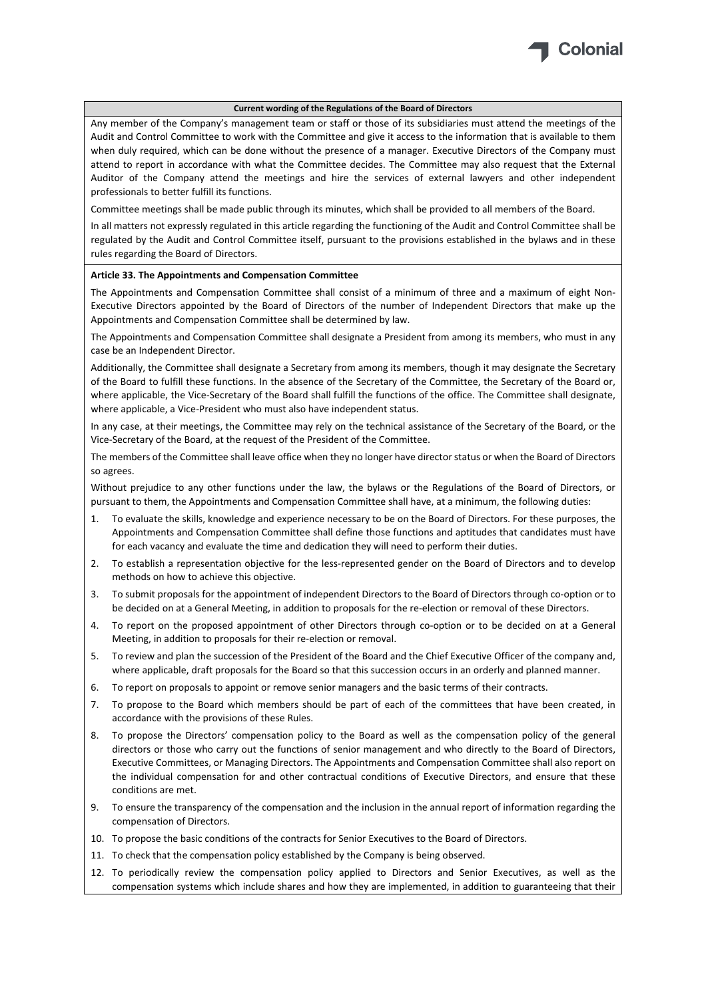

Any member of the Company's management team or staff or those of its subsidiaries must attend the meetings of the Audit and Control Committee to work with the Committee and give it access to the information that is available to them when duly required, which can be done without the presence of a manager. Executive Directors of the Company must attend to report in accordance with what the Committee decides. The Committee may also request that the External Auditor of the Company attend the meetings and hire the services of external lawyers and other independent professionals to better fulfill its functions.

Committee meetings shall be made public through its minutes, which shall be provided to all members of the Board.

In all matters not expressly regulated in this article regarding the functioning of the Audit and Control Committee shall be regulated by the Audit and Control Committee itself, pursuant to the provisions established in the bylaws and in these rules regarding the Board of Directors.

#### **Article 33. The Appointments and Compensation Committee**

The Appointments and Compensation Committee shall consist of a minimum of three and a maximum of eight Non-Executive Directors appointed by the Board of Directors of the number of Independent Directors that make up the Appointments and Compensation Committee shall be determined by law.

The Appointments and Compensation Committee shall designate a President from among its members, who must in any case be an Independent Director.

Additionally, the Committee shall designate a Secretary from among its members, though it may designate the Secretary of the Board to fulfill these functions. In the absence of the Secretary of the Committee, the Secretary of the Board or, where applicable, the Vice-Secretary of the Board shall fulfill the functions of the office. The Committee shall designate, where applicable, a Vice-President who must also have independent status.

In any case, at their meetings, the Committee may rely on the technical assistance of the Secretary of the Board, or the Vice‐Secretary of the Board, at the request of the President of the Committee.

The members of the Committee shall leave office when they no longer have directorstatus or when the Board of Directors so agrees.

Without prejudice to any other functions under the law, the bylaws or the Regulations of the Board of Directors, or pursuant to them, the Appointments and Compensation Committee shall have, at a minimum, the following duties:

- 1. To evaluate the skills, knowledge and experience necessary to be on the Board of Directors. For these purposes, the Appointments and Compensation Committee shall define those functions and aptitudes that candidates must have for each vacancy and evaluate the time and dedication they will need to perform their duties.
- 2. To establish a representation objective for the less-represented gender on the Board of Directors and to develop methods on how to achieve this objective.
- 3. To submit proposals for the appointment of independent Directors to the Board of Directors through co‐option or to be decided on at a General Meeting, in addition to proposals for the re‐election or removal of these Directors.
- 4. To report on the proposed appointment of other Directors through co-option or to be decided on at a General Meeting, in addition to proposals for their re‐election or removal.
- 5. To review and plan the succession of the President of the Board and the Chief Executive Officer of the company and, where applicable, draft proposals for the Board so that this succession occurs in an orderly and planned manner.
- 6. To report on proposals to appoint or remove senior managers and the basic terms of their contracts.
- 7. To propose to the Board which members should be part of each of the committees that have been created, in accordance with the provisions of these Rules.
- 8. To propose the Directors' compensation policy to the Board as well as the compensation policy of the general directors or those who carry out the functions of senior management and who directly to the Board of Directors, Executive Committees, or Managing Directors. The Appointments and Compensation Committee shall also report on the individual compensation for and other contractual conditions of Executive Directors, and ensure that these conditions are met.
- 9. To ensure the transparency of the compensation and the inclusion in the annual report of information regarding the compensation of Directors.
- 10. To propose the basic conditions of the contracts for Senior Executives to the Board of Directors.
- 11. To check that the compensation policy established by the Company is being observed.
- 12. To periodically review the compensation policy applied to Directors and Senior Executives, as well as the compensation systems which include shares and how they are implemented, in addition to guaranteeing that their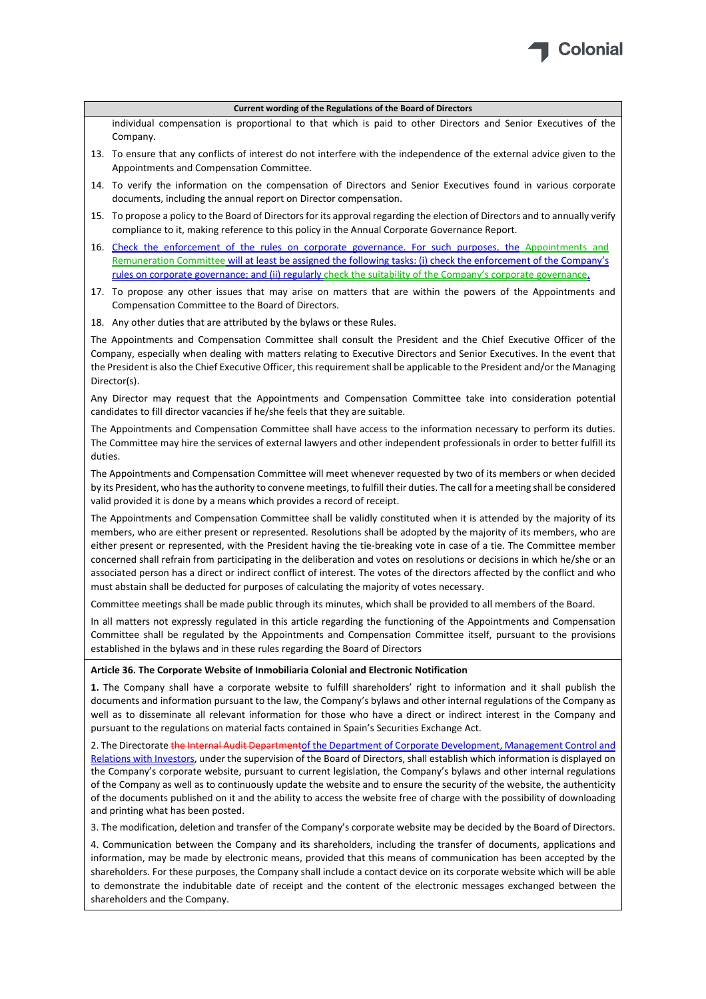

individual compensation is proportional to that which is paid to other Directors and Senior Executives of the Company.

- 13. To ensure that any conflicts of interest do not interfere with the independence of the external advice given to the Appointments and Compensation Committee.
- 14. To verify the information on the compensation of Directors and Senior Executives found in various corporate documents, including the annual report on Director compensation.
- 15. To propose a policy to the Board of Directorsfor its approval regarding the election of Directors and to annually verify compliance to it, making reference to this policy in the Annual Corporate Governance Report.
- 16. Check the enforcement of the rules on corporate governance. For such purposes, the Appointments and Remuneration Committee will at least be assigned the following tasks: (i) check the enforcement of the Company's rules on corporate governance; and (ii) regularly check the suitability of the Company's corporate governance.
- 17. To propose any other issues that may arise on matters that are within the powers of the Appointments and Compensation Committee to the Board of Directors.
- 18. Any other duties that are attributed by the bylaws or these Rules.

The Appointments and Compensation Committee shall consult the President and the Chief Executive Officer of the Company, especially when dealing with matters relating to Executive Directors and Senior Executives. In the event that the President is also the Chief Executive Officer, this requirement shall be applicable to the President and/or the Managing Director(s).

Any Director may request that the Appointments and Compensation Committee take into consideration potential candidates to fill director vacancies if he/she feels that they are suitable.

The Appointments and Compensation Committee shall have access to the information necessary to perform its duties. The Committee may hire the services of external lawyers and other independent professionals in order to better fulfill its duties.

The Appointments and Compensation Committee will meet whenever requested by two of its members or when decided by its President, who hasthe authority to convene meetings, to fulfill their duties. The call for a meeting shall be considered valid provided it is done by a means which provides a record of receipt.

The Appointments and Compensation Committee shall be validly constituted when it is attended by the majority of its members, who are either present or represented. Resolutions shall be adopted by the majority of its members, who are either present or represented, with the President having the tie‐breaking vote in case of a tie. The Committee member concerned shall refrain from participating in the deliberation and votes on resolutions or decisions in which he/she or an associated person has a direct or indirect conflict of interest. The votes of the directors affected by the conflict and who must abstain shall be deducted for purposes of calculating the majority of votes necessary.

Committee meetings shall be made public through its minutes, which shall be provided to all members of the Board.

In all matters not expressly regulated in this article regarding the functioning of the Appointments and Compensation Committee shall be regulated by the Appointments and Compensation Committee itself, pursuant to the provisions established in the bylaws and in these rules regarding the Board of Directors

#### **Article 36. The Corporate Website of Inmobiliaria Colonial and Electronic Notification**

**1.** The Company shall have a corporate website to fulfill shareholders' right to information and it shall publish the documents and information pursuant to the law, the Company's bylaws and other internal regulations of the Company as well as to disseminate all relevant information for those who have a direct or indirect interest in the Company and pursuant to the regulations on material facts contained in Spain's Securities Exchange Act.

2. The Directorate the Internal Audit Department of the Department of Corporate Development, Management Control and Relations with Investors, under the supervision of the Board of Directors, shall establish which information is displayed on the Company's corporate website, pursuant to current legislation, the Company's bylaws and other internal regulations of the Company as well as to continuously update the website and to ensure the security of the website, the authenticity of the documents published on it and the ability to access the website free of charge with the possibility of downloading and printing what has been posted.

3. The modification, deletion and transfer of the Company's corporate website may be decided by the Board of Directors.

4. Communication between the Company and its shareholders, including the transfer of documents, applications and information, may be made by electronic means, provided that this means of communication has been accepted by the shareholders. For these purposes, the Company shall include a contact device on its corporate website which will be able to demonstrate the indubitable date of receipt and the content of the electronic messages exchanged between the shareholders and the Company.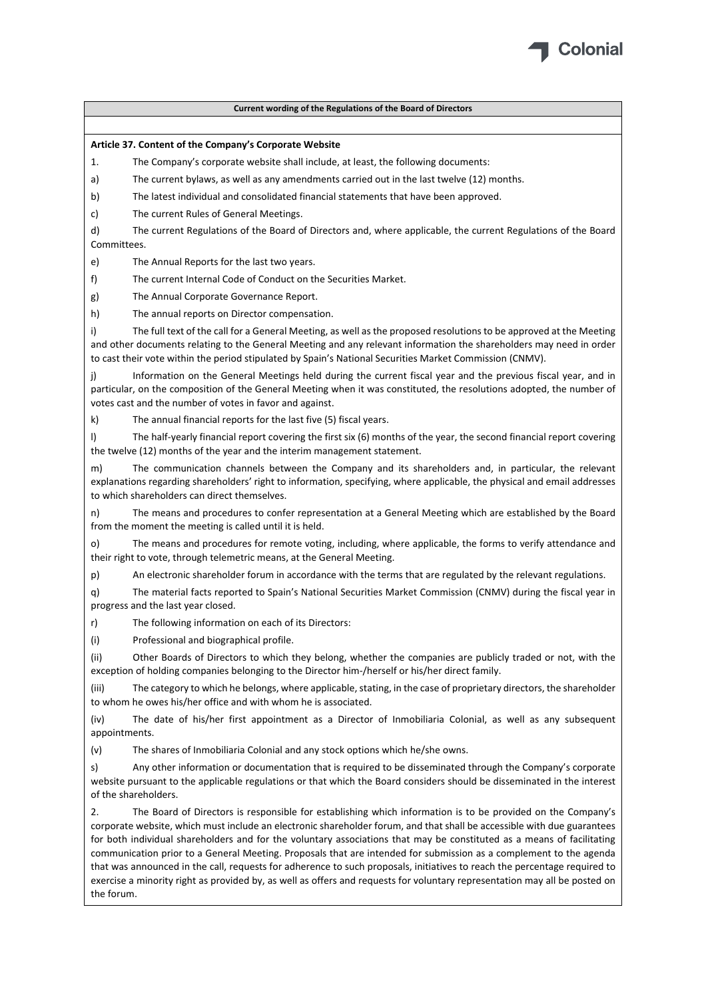

#### **Article 37. Content of the Company's Corporate Website**

- 1. The Company's corporate website shall include, at least, the following documents:
- a) The current bylaws, as well as any amendments carried out in the last twelve (12) months.
- b) The latest individual and consolidated financial statements that have been approved.
- c) The current Rules of General Meetings.

d) The current Regulations of the Board of Directors and, where applicable, the current Regulations of the Board **Committees** 

e) The Annual Reports for the last two years.

f) The current Internal Code of Conduct on the Securities Market.

- g) The Annual Corporate Governance Report.
- h) The annual reports on Director compensation.

i) The full text of the call for a General Meeting, as well as the proposed resolutions to be approved at the Meeting and other documents relating to the General Meeting and any relevant information the shareholders may need in order to cast their vote within the period stipulated by Spain's National Securities Market Commission (CNMV).

Information on the General Meetings held during the current fiscal year and the previous fiscal year, and in particular, on the composition of the General Meeting when it was constituted, the resolutions adopted, the number of votes cast and the number of votes in favor and against.

k) The annual financial reports for the last five (5) fiscal years.

l) The half‐yearly financial report covering the first six (6) months of the year, the second financial report covering the twelve (12) months of the year and the interim management statement.

m) The communication channels between the Company and its shareholders and, in particular, the relevant explanations regarding shareholders' right to information, specifying, where applicable, the physical and email addresses to which shareholders can direct themselves.

n) The means and procedures to confer representation at a General Meeting which are established by the Board from the moment the meeting is called until it is held.

o) The means and procedures for remote voting, including, where applicable, the forms to verify attendance and their right to vote, through telemetric means, at the General Meeting.

p) An electronic shareholder forum in accordance with the terms that are regulated by the relevant regulations.

q) The material facts reported to Spain's National Securities Market Commission (CNMV) during the fiscal year in progress and the last year closed.

r) The following information on each of its Directors:

(i) Professional and biographical profile.

(ii) Other Boards of Directors to which they belong, whether the companies are publicly traded or not, with the exception of holding companies belonging to the Director him‐/herself or his/her direct family.

(iii) The category to which he belongs, where applicable, stating, in the case of proprietary directors, the shareholder to whom he owes his/her office and with whom he is associated.

(iv) The date of his/her first appointment as a Director of Inmobiliaria Colonial, as well as any subsequent appointments.

(v) The shares of Inmobiliaria Colonial and any stock options which he/she owns.

s) Any other information or documentation that is required to be disseminated through the Company's corporate website pursuant to the applicable regulations or that which the Board considers should be disseminated in the interest of the shareholders.

2. The Board of Directors is responsible for establishing which information is to be provided on the Company's corporate website, which must include an electronic shareholder forum, and that shall be accessible with due guarantees for both individual shareholders and for the voluntary associations that may be constituted as a means of facilitating communication prior to a General Meeting. Proposals that are intended for submission as a complement to the agenda that was announced in the call, requests for adherence to such proposals, initiatives to reach the percentage required to exercise a minority right as provided by, as well as offers and requests for voluntary representation may all be posted on the forum.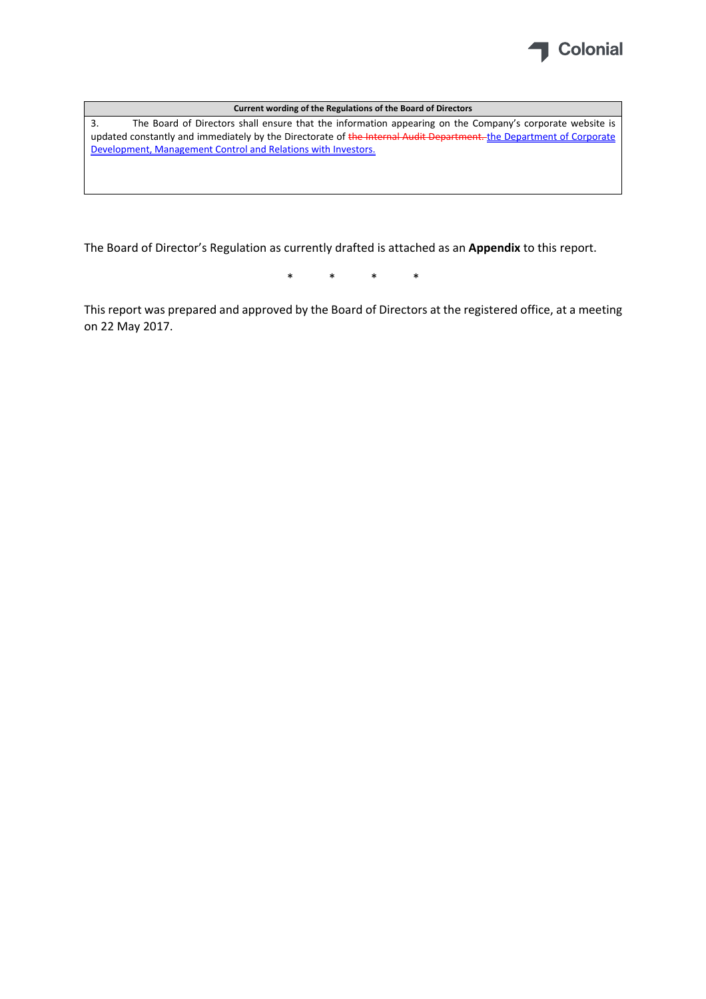

3. The Board of Directors shall ensure that the information appearing on the Company's corporate website is updated constantly and immediately by the Directorate of the Internal Audit Department. the Department of Corporate Development, Management Control and Relations with Investors.

The Board of Director's Regulation as currently drafted is attached as an **Appendix** to this report.

\* \* \* \*

This report was prepared and approved by the Board of Directors at the registered office, at a meeting on 22 May 2017.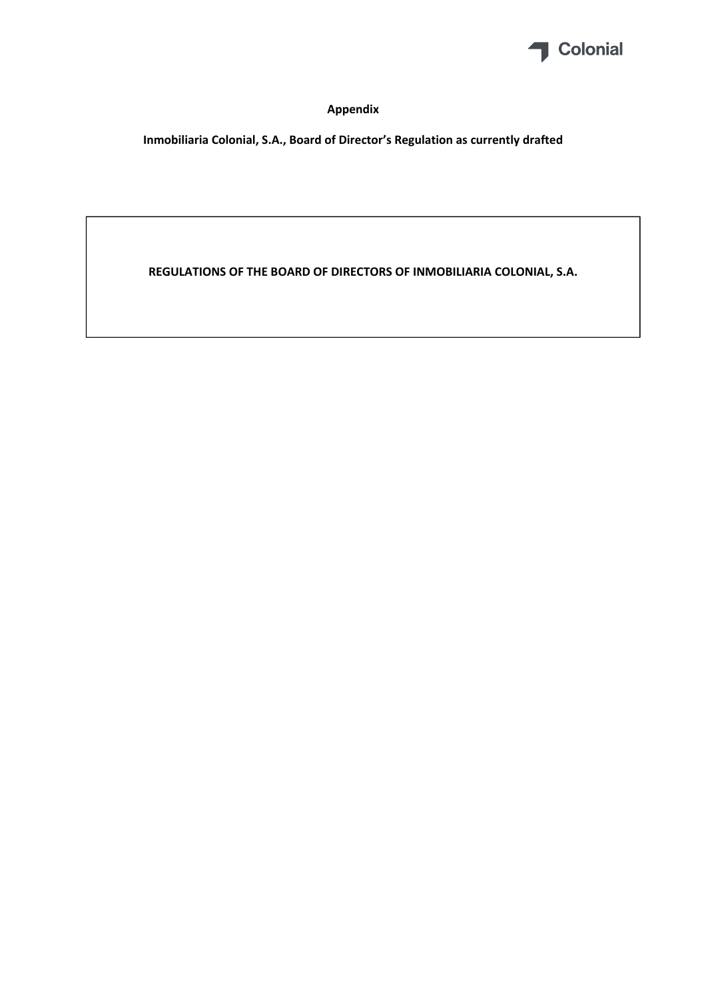

# **Appendix**

**Inmobiliaria Colonial, S.A., Board of Director's Regulation as currently drafted**

**REGULATIONS OF THE BOARD OF DIRECTORS OF INMOBILIARIA COLONIAL, S.A.**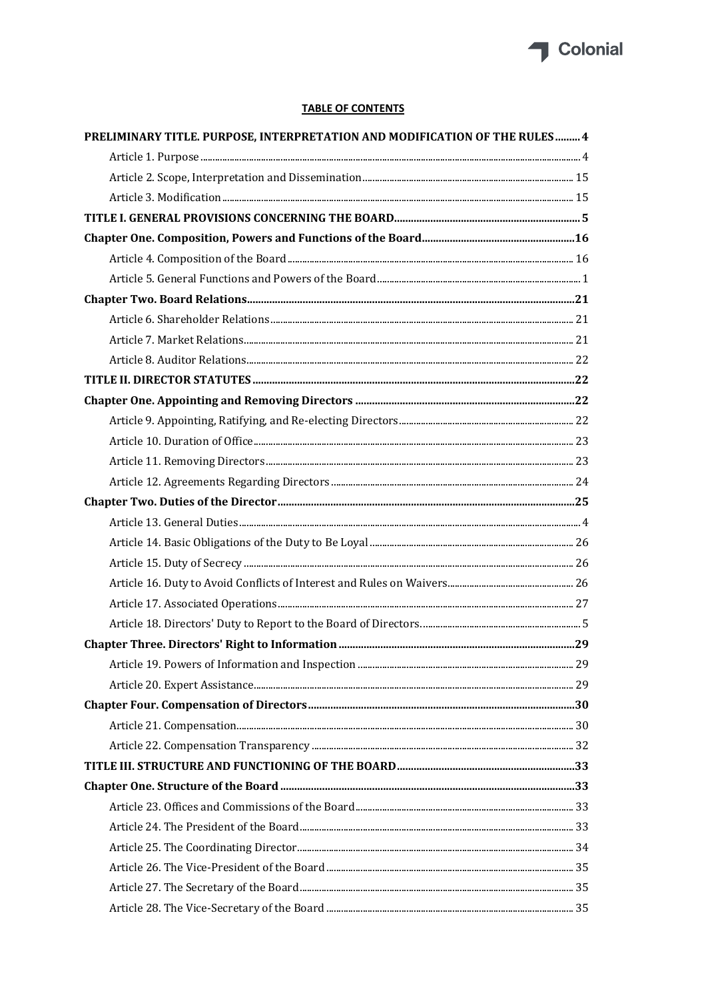

# **TABLE OF CONTENTS**

| PRELIMINARY TITLE. PURPOSE, INTERPRETATION AND MODIFICATION OF THE RULES 4 |  |
|----------------------------------------------------------------------------|--|
|                                                                            |  |
|                                                                            |  |
|                                                                            |  |
|                                                                            |  |
|                                                                            |  |
|                                                                            |  |
|                                                                            |  |
|                                                                            |  |
|                                                                            |  |
|                                                                            |  |
|                                                                            |  |
|                                                                            |  |
|                                                                            |  |
|                                                                            |  |
|                                                                            |  |
|                                                                            |  |
|                                                                            |  |
|                                                                            |  |
|                                                                            |  |
|                                                                            |  |
|                                                                            |  |
|                                                                            |  |
|                                                                            |  |
|                                                                            |  |
|                                                                            |  |
|                                                                            |  |
|                                                                            |  |
|                                                                            |  |
|                                                                            |  |
|                                                                            |  |
|                                                                            |  |
|                                                                            |  |
|                                                                            |  |
|                                                                            |  |
|                                                                            |  |
|                                                                            |  |
|                                                                            |  |
|                                                                            |  |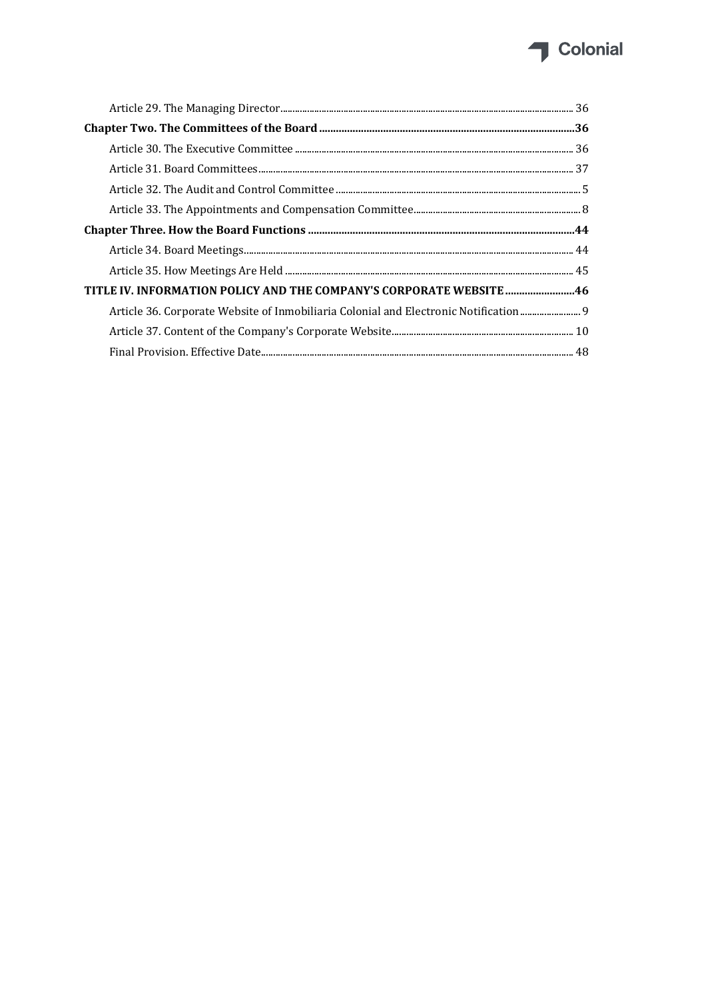# Colonial

| TITLE IV. INFORMATION POLICY AND THE COMPANY'S CORPORATE WEBSITE46                   |  |
|--------------------------------------------------------------------------------------|--|
| Article 36. Corporate Website of Inmobiliaria Colonial and Electronic Notification 9 |  |
|                                                                                      |  |
|                                                                                      |  |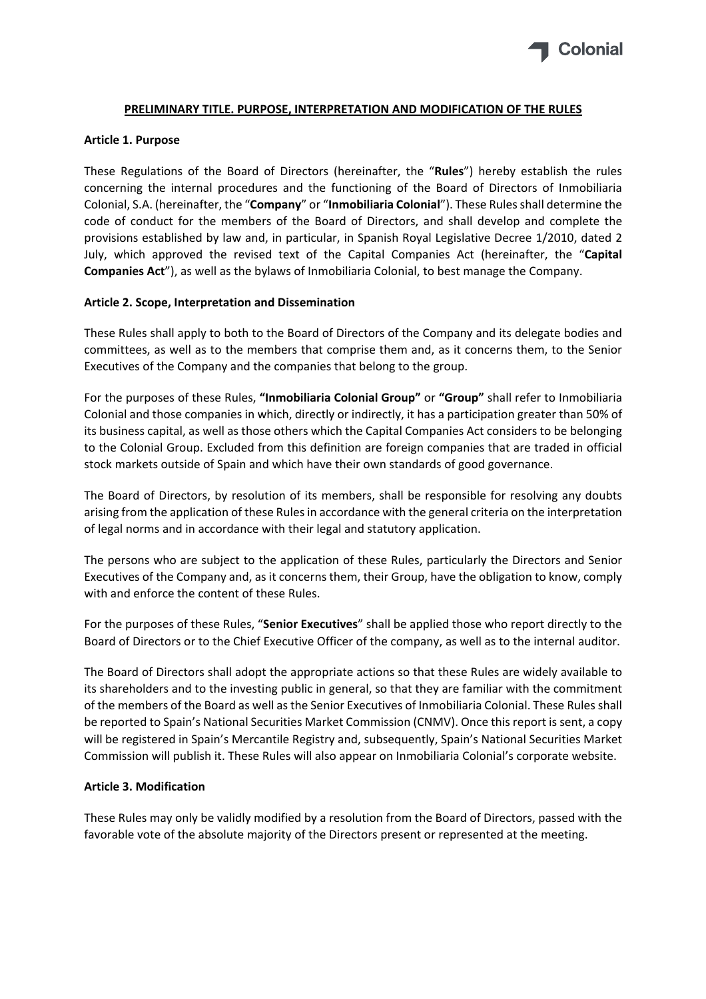

#### **PRELIMINARY TITLE. PURPOSE, INTERPRETATION AND MODIFICATION OF THE RULES**

#### **Article 1. Purpose**

These Regulations of the Board of Directors (hereinafter, the "**Rules**") hereby establish the rules concerning the internal procedures and the functioning of the Board of Directors of Inmobiliaria Colonial, S.A. (hereinafter, the "**Company**" or "**Inmobiliaria Colonial**"). These Rulesshall determine the code of conduct for the members of the Board of Directors, and shall develop and complete the provisions established by law and, in particular, in Spanish Royal Legislative Decree 1/2010, dated 2 July, which approved the revised text of the Capital Companies Act (hereinafter, the "**Capital Companies Act**"), as well as the bylaws of Inmobiliaria Colonial, to best manage the Company.

#### **Article 2. Scope, Interpretation and Dissemination**

These Rules shall apply to both to the Board of Directors of the Company and its delegate bodies and committees, as well as to the members that comprise them and, as it concerns them, to the Senior Executives of the Company and the companies that belong to the group.

For the purposes of these Rules, **"Inmobiliaria Colonial Group"** or **"Group"** shall refer to Inmobiliaria Colonial and those companies in which, directly or indirectly, it has a participation greater than 50% of its business capital, as well as those others which the Capital Companies Act considers to be belonging to the Colonial Group. Excluded from this definition are foreign companies that are traded in official stock markets outside of Spain and which have their own standards of good governance.

The Board of Directors, by resolution of its members, shall be responsible for resolving any doubts arising from the application of these Rules in accordance with the general criteria on the interpretation of legal norms and in accordance with their legal and statutory application.

The persons who are subject to the application of these Rules, particularly the Directors and Senior Executives of the Company and, as it concerns them, their Group, have the obligation to know, comply with and enforce the content of these Rules.

For the purposes of these Rules, "**Senior Executives**" shall be applied those who report directly to the Board of Directors or to the Chief Executive Officer of the company, as well as to the internal auditor.

The Board of Directors shall adopt the appropriate actions so that these Rules are widely available to its shareholders and to the investing public in general, so that they are familiar with the commitment of the members of the Board as well asthe Senior Executives of Inmobiliaria Colonial. These Rulesshall be reported to Spain's National Securities Market Commission (CNMV). Once thisreport is sent, a copy will be registered in Spain's Mercantile Registry and, subsequently, Spain's National Securities Market Commission will publish it. These Rules will also appear on Inmobiliaria Colonial's corporate website.

#### **Article 3. Modification**

These Rules may only be validly modified by a resolution from the Board of Directors, passed with the favorable vote of the absolute majority of the Directors present or represented at the meeting.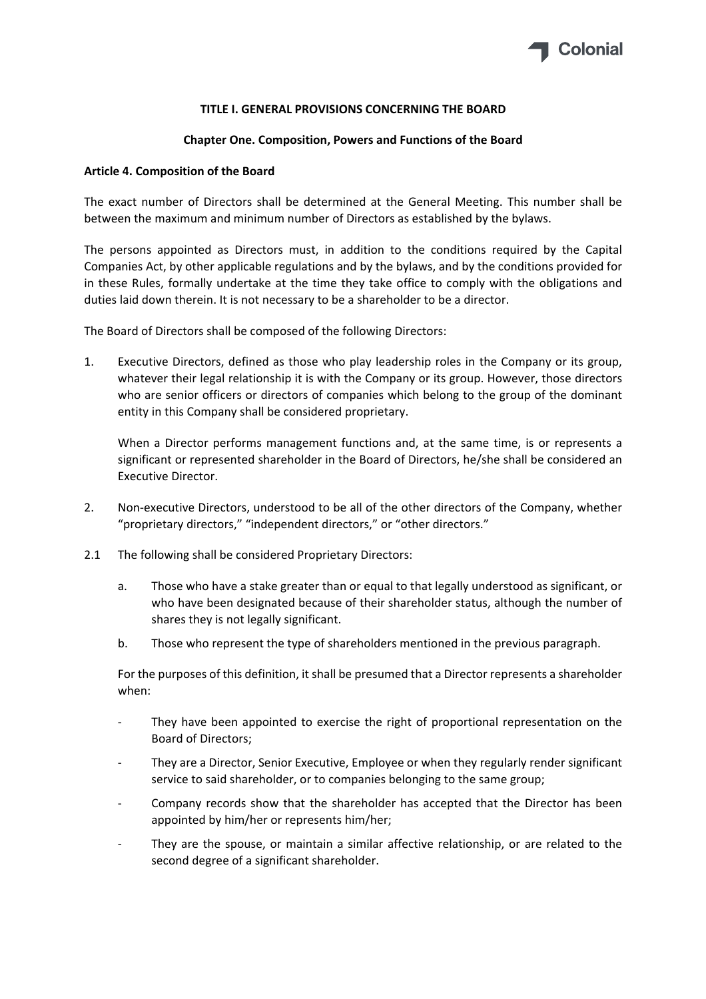

#### **TITLE I. GENERAL PROVISIONS CONCERNING THE BOARD**

#### **Chapter One. Composition, Powers and Functions of the Board**

#### **Article 4. Composition of the Board**

The exact number of Directors shall be determined at the General Meeting. This number shall be between the maximum and minimum number of Directors as established by the bylaws.

The persons appointed as Directors must, in addition to the conditions required by the Capital Companies Act, by other applicable regulations and by the bylaws, and by the conditions provided for in these Rules, formally undertake at the time they take office to comply with the obligations and duties laid down therein. It is not necessary to be a shareholder to be a director.

The Board of Directors shall be composed of the following Directors:

1. Executive Directors, defined as those who play leadership roles in the Company or its group, whatever their legal relationship it is with the Company or its group. However, those directors who are senior officers or directors of companies which belong to the group of the dominant entity in this Company shall be considered proprietary.

When a Director performs management functions and, at the same time, is or represents a significant or represented shareholder in the Board of Directors, he/she shall be considered an Executive Director.

- 2. Non-executive Directors, understood to be all of the other directors of the Company, whether "proprietary directors," "independent directors," or "other directors."
- 2.1 The following shall be considered Proprietary Directors:
	- a. Those who have a stake greater than or equal to that legally understood as significant, or who have been designated because of their shareholder status, although the number of shares they is not legally significant.
	- b. Those who represent the type of shareholders mentioned in the previous paragraph.

For the purposes of this definition, it shall be presumed that a Director represents a shareholder when:

- They have been appointed to exercise the right of proportional representation on the Board of Directors;
- ‐ They are a Director, Senior Executive, Employee or when they regularly render significant service to said shareholder, or to companies belonging to the same group;
- ‐ Company records show that the shareholder has accepted that the Director has been appointed by him/her or represents him/her;
- ‐ They are the spouse, or maintain a similar affective relationship, or are related to the second degree of a significant shareholder.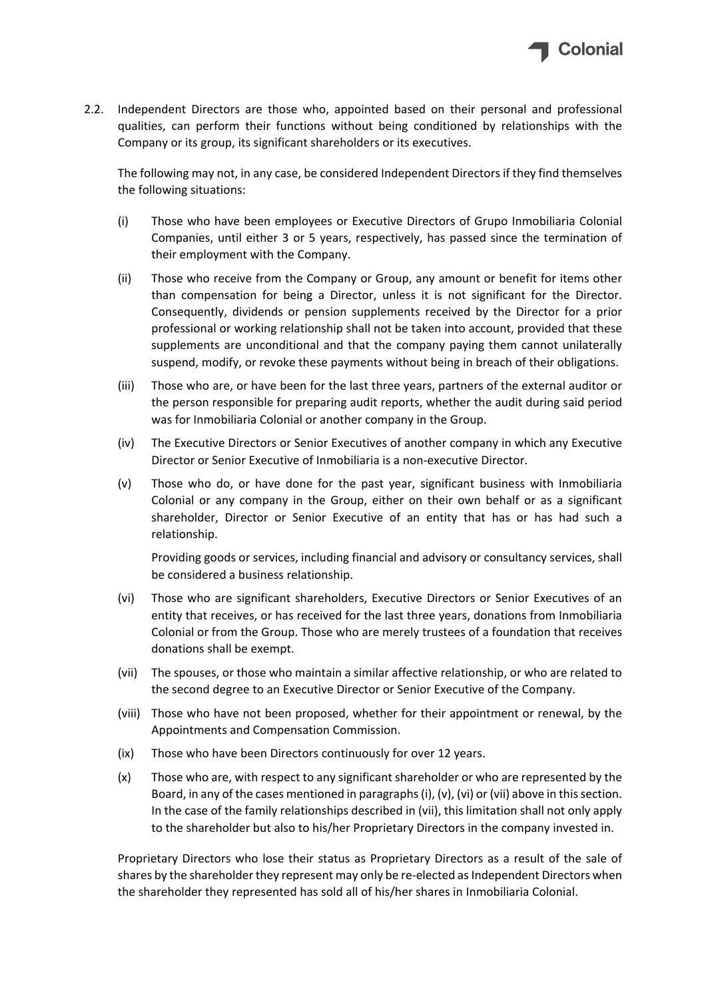

2.2. Independent Directors are those who, appointed based on their personal and professional qualities, can perform their functions without being conditioned by relationships with the Company or its group, its significant shareholders or its executives.

The following may not, in any case, be considered Independent Directors if they find themselves the following situations:

- (i) Those who have been employees or Executive Directors of Grupo Inmobiliaria Colonial Companies, until either 3 or 5 years, respectively, has passed since the termination of their employment with the Company.
- (ii) Those who receive from the Company or Group, any amount or benefit for items other than compensation for being a Director, unless it is not significant for the Director. Consequently, dividends or pension supplements received by the Director for a prior professional or working relationship shall not be taken into account, provided that these supplements are unconditional and that the company paying them cannot unilaterally suspend, modify, or revoke these payments without being in breach of their obligations.
- (iii) Those who are, or have been for the last three years, partners of the external auditor or the person responsible for preparing audit reports, whether the audit during said period was for Inmobiliaria Colonial or another company in the Group.
- (iv) The Executive Directors or Senior Executives of another company in which any Executive Director or Senior Executive of Inmobiliaria is a non‐executive Director.
- (v) Those who do, or have done for the past year, significant business with Inmobiliaria Colonial or any company in the Group, either on their own behalf or as a significant shareholder, Director or Senior Executive of an entity that has or has had such a relationship.

Providing goods or services, including financial and advisory or consultancy services, shall be considered a business relationship.

- (vi) Those who are significant shareholders, Executive Directors or Senior Executives of an entity that receives, or has received for the last three years, donations from Inmobiliaria Colonial or from the Group. Those who are merely trustees of a foundation that receives donations shall be exempt.
- (vii) The spouses, or those who maintain a similar affective relationship, or who are related to the second degree to an Executive Director or Senior Executive of the Company.
- (viii) Those who have not been proposed, whether for their appointment or renewal, by the Appointments and Compensation Commission.
- (ix) Those who have been Directors continuously for over 12 years.
- (x) Those who are, with respect to any significant shareholder or who are represented by the Board, in any of the cases mentioned in paragraphs (i), (v), (vi) or (vii) above in this section. In the case of the family relationships described in (vii), this limitation shall not only apply to the shareholder but also to his/her Proprietary Directors in the company invested in.

Proprietary Directors who lose their status as Proprietary Directors as a result of the sale of shares by the shareholder they represent may only be re-elected as Independent Directors when the shareholder they represented has sold all of his/her shares in Inmobiliaria Colonial.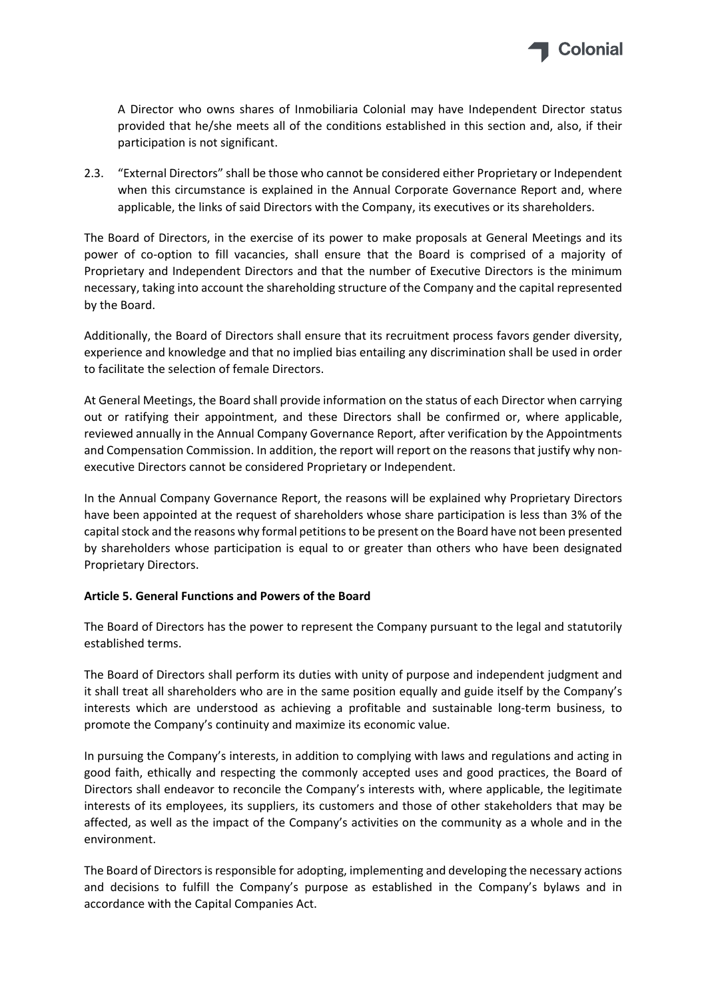

A Director who owns shares of Inmobiliaria Colonial may have Independent Director status provided that he/she meets all of the conditions established in this section and, also, if their participation is not significant.

2.3. "External Directors" shall be those who cannot be considered either Proprietary or Independent when this circumstance is explained in the Annual Corporate Governance Report and, where applicable, the links of said Directors with the Company, its executives or its shareholders.

The Board of Directors, in the exercise of its power to make proposals at General Meetings and its power of co-option to fill vacancies, shall ensure that the Board is comprised of a majority of Proprietary and Independent Directors and that the number of Executive Directors is the minimum necessary, taking into account the shareholding structure of the Company and the capital represented by the Board.

Additionally, the Board of Directors shall ensure that its recruitment process favors gender diversity, experience and knowledge and that no implied bias entailing any discrimination shall be used in order to facilitate the selection of female Directors.

At General Meetings, the Board shall provide information on the status of each Director when carrying out or ratifying their appointment, and these Directors shall be confirmed or, where applicable, reviewed annually in the Annual Company Governance Report, after verification by the Appointments and Compensation Commission. In addition, the report will report on the reasons that justify why nonexecutive Directors cannot be considered Proprietary or Independent.

In the Annual Company Governance Report, the reasons will be explained why Proprietary Directors have been appointed at the request of shareholders whose share participation is less than 3% of the capital stock and the reasons why formal petitions to be present on the Board have not been presented by shareholders whose participation is equal to or greater than others who have been designated Proprietary Directors.

## **Article 5. General Functions and Powers of the Board**

The Board of Directors has the power to represent the Company pursuant to the legal and statutorily established terms.

The Board of Directors shall perform its duties with unity of purpose and independent judgment and it shall treat all shareholders who are in the same position equally and guide itself by the Company's interests which are understood as achieving a profitable and sustainable long‐term business, to promote the Company's continuity and maximize its economic value.

In pursuing the Company's interests, in addition to complying with laws and regulations and acting in good faith, ethically and respecting the commonly accepted uses and good practices, the Board of Directors shall endeavor to reconcile the Company's interests with, where applicable, the legitimate interests of its employees, its suppliers, its customers and those of other stakeholders that may be affected, as well as the impact of the Company's activities on the community as a whole and in the environment.

The Board of Directors is responsible for adopting, implementing and developing the necessary actions and decisions to fulfill the Company's purpose as established in the Company's bylaws and in accordance with the Capital Companies Act.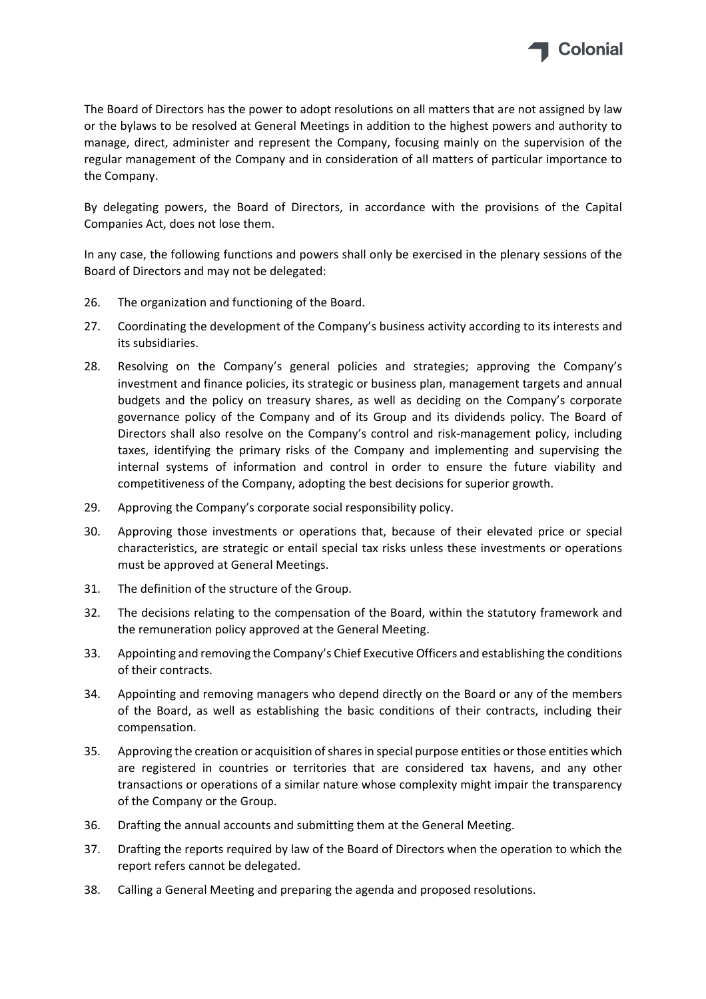

The Board of Directors has the power to adopt resolutions on all matters that are not assigned by law or the bylaws to be resolved at General Meetings in addition to the highest powers and authority to manage, direct, administer and represent the Company, focusing mainly on the supervision of the regular management of the Company and in consideration of all matters of particular importance to the Company.

By delegating powers, the Board of Directors, in accordance with the provisions of the Capital Companies Act, does not lose them.

In any case, the following functions and powers shall only be exercised in the plenary sessions of the Board of Directors and may not be delegated:

- 26. The organization and functioning of the Board.
- 27. Coordinating the development of the Company's business activity according to its interests and its subsidiaries.
- 28. Resolving on the Company's general policies and strategies; approving the Company's investment and finance policies, its strategic or business plan, management targets and annual budgets and the policy on treasury shares, as well as deciding on the Company's corporate governance policy of the Company and of its Group and its dividends policy. The Board of Directors shall also resolve on the Company's control and risk‐management policy, including taxes, identifying the primary risks of the Company and implementing and supervising the internal systems of information and control in order to ensure the future viability and competitiveness of the Company, adopting the best decisions for superior growth.
- 29. Approving the Company's corporate social responsibility policy.
- 30. Approving those investments or operations that, because of their elevated price or special characteristics, are strategic or entail special tax risks unless these investments or operations must be approved at General Meetings.
- 31. The definition of the structure of the Group.
- 32. The decisions relating to the compensation of the Board, within the statutory framework and the remuneration policy approved at the General Meeting.
- 33. Appointing and removing the Company's Chief Executive Officers and establishing the conditions of their contracts.
- 34. Appointing and removing managers who depend directly on the Board or any of the members of the Board, as well as establishing the basic conditions of their contracts, including their compensation.
- 35. Approving the creation or acquisition of shares in special purpose entities or those entities which are registered in countries or territories that are considered tax havens, and any other transactions or operations of a similar nature whose complexity might impair the transparency of the Company or the Group.
- 36. Drafting the annual accounts and submitting them at the General Meeting.
- 37. Drafting the reports required by law of the Board of Directors when the operation to which the report refers cannot be delegated.
- 38. Calling a General Meeting and preparing the agenda and proposed resolutions.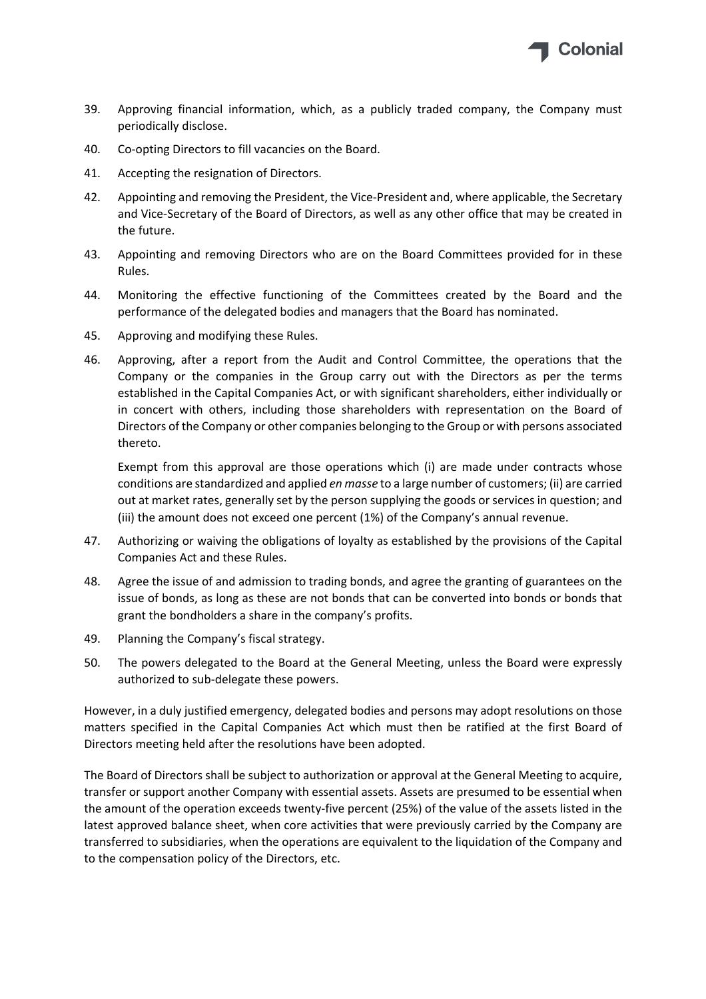

- 39. Approving financial information, which, as a publicly traded company, the Company must periodically disclose.
- 40. Co-opting Directors to fill vacancies on the Board.
- 41. Accepting the resignation of Directors.
- 42. Appointing and removing the President, the Vice-President and, where applicable, the Secretary and Vice‐Secretary of the Board of Directors, as well as any other office that may be created in the future.
- 43. Appointing and removing Directors who are on the Board Committees provided for in these Rules.
- 44. Monitoring the effective functioning of the Committees created by the Board and the performance of the delegated bodies and managers that the Board has nominated.
- 45. Approving and modifying these Rules.
- 46. Approving, after a report from the Audit and Control Committee, the operations that the Company or the companies in the Group carry out with the Directors as per the terms established in the Capital Companies Act, or with significant shareholders, either individually or in concert with others, including those shareholders with representation on the Board of Directors of the Company or other companies belonging to the Group or with persons associated thereto.

Exempt from this approval are those operations which (i) are made under contracts whose conditions are standardized and applied *en masse* to a large number of customers; (ii) are carried out at market rates, generally set by the person supplying the goods or services in question; and (iii) the amount does not exceed one percent (1%) of the Company's annual revenue.

- 47. Authorizing or waiving the obligations of loyalty as established by the provisions of the Capital Companies Act and these Rules.
- 48. Agree the issue of and admission to trading bonds, and agree the granting of guarantees on the issue of bonds, as long as these are not bonds that can be converted into bonds or bonds that grant the bondholders a share in the company's profits.
- 49. Planning the Company's fiscal strategy.
- 50. The powers delegated to the Board at the General Meeting, unless the Board were expressly authorized to sub‐delegate these powers.

However, in a duly justified emergency, delegated bodies and persons may adopt resolutions on those matters specified in the Capital Companies Act which must then be ratified at the first Board of Directors meeting held after the resolutions have been adopted.

The Board of Directors shall be subject to authorization or approval at the General Meeting to acquire, transfer or support another Company with essential assets. Assets are presumed to be essential when the amount of the operation exceeds twenty‐five percent (25%) of the value of the assets listed in the latest approved balance sheet, when core activities that were previously carried by the Company are transferred to subsidiaries, when the operations are equivalent to the liquidation of the Company and to the compensation policy of the Directors, etc.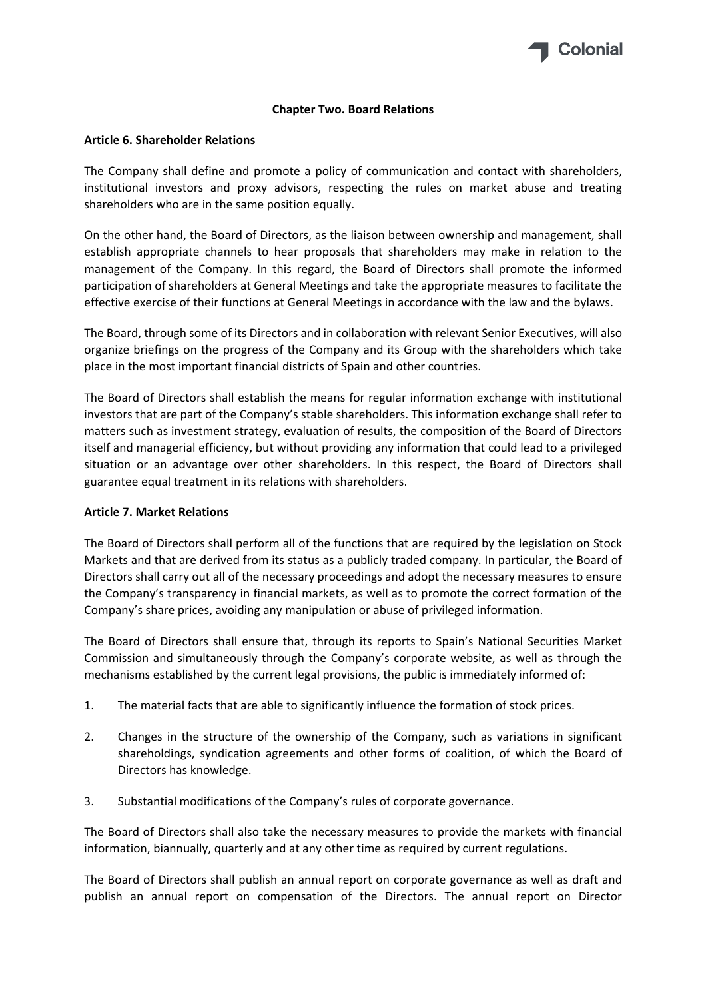

#### **Chapter Two. Board Relations**

#### **Article 6. Shareholder Relations**

The Company shall define and promote a policy of communication and contact with shareholders, institutional investors and proxy advisors, respecting the rules on market abuse and treating shareholders who are in the same position equally.

On the other hand, the Board of Directors, as the liaison between ownership and management, shall establish appropriate channels to hear proposals that shareholders may make in relation to the management of the Company. In this regard, the Board of Directors shall promote the informed participation of shareholders at General Meetings and take the appropriate measures to facilitate the effective exercise of their functions at General Meetings in accordance with the law and the bylaws.

The Board, through some of its Directors and in collaboration with relevant Senior Executives, will also organize briefings on the progress of the Company and its Group with the shareholders which take place in the most important financial districts of Spain and other countries.

The Board of Directors shall establish the means for regular information exchange with institutional investors that are part of the Company's stable shareholders. This information exchange shall refer to matters such as investment strategy, evaluation of results, the composition of the Board of Directors itself and managerial efficiency, but without providing any information that could lead to a privileged situation or an advantage over other shareholders. In this respect, the Board of Directors shall guarantee equal treatment in its relations with shareholders.

## **Article 7. Market Relations**

The Board of Directors shall perform all of the functions that are required by the legislation on Stock Markets and that are derived from its status as a publicly traded company. In particular, the Board of Directors shall carry out all of the necessary proceedings and adopt the necessary measures to ensure the Company's transparency in financial markets, as well as to promote the correct formation of the Company's share prices, avoiding any manipulation or abuse of privileged information.

The Board of Directors shall ensure that, through its reports to Spain's National Securities Market Commission and simultaneously through the Company's corporate website, as well as through the mechanisms established by the current legal provisions, the public is immediately informed of:

- 1. The material facts that are able to significantly influence the formation of stock prices.
- 2. Changes in the structure of the ownership of the Company, such as variations in significant shareholdings, syndication agreements and other forms of coalition, of which the Board of Directors has knowledge.
- 3. Substantial modifications of the Company's rules of corporate governance.

The Board of Directors shall also take the necessary measures to provide the markets with financial information, biannually, quarterly and at any other time as required by current regulations.

The Board of Directors shall publish an annual report on corporate governance as well as draft and publish an annual report on compensation of the Directors. The annual report on Director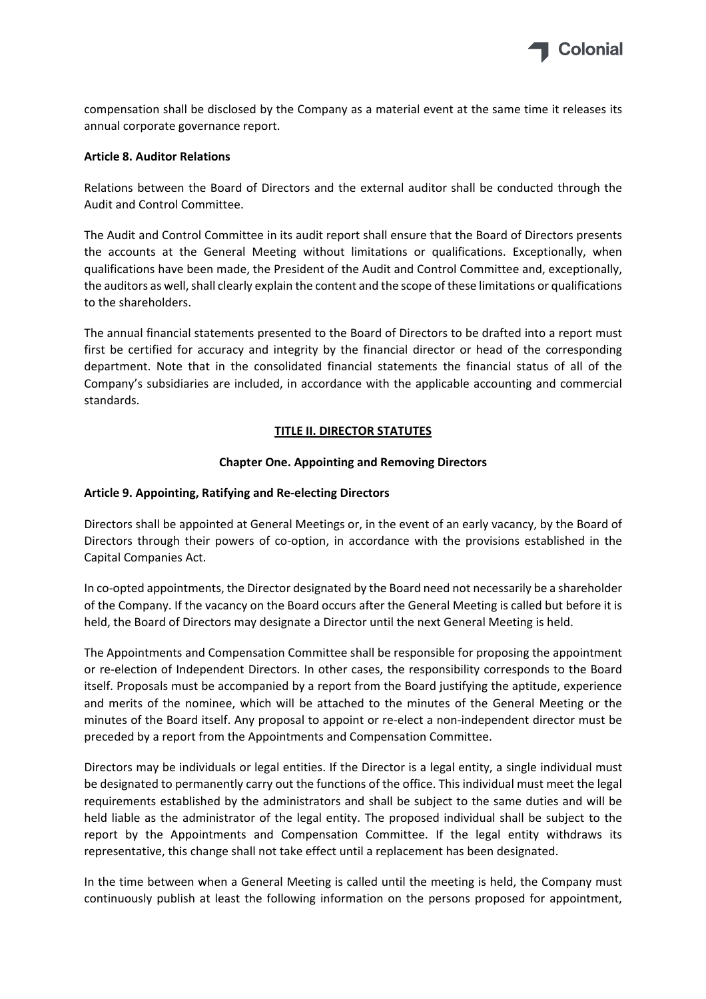

compensation shall be disclosed by the Company as a material event at the same time it releases its annual corporate governance report.

#### **Article 8. Auditor Relations**

Relations between the Board of Directors and the external auditor shall be conducted through the Audit and Control Committee.

The Audit and Control Committee in its audit report shall ensure that the Board of Directors presents the accounts at the General Meeting without limitations or qualifications. Exceptionally, when qualifications have been made, the President of the Audit and Control Committee and, exceptionally, the auditors as well, shall clearly explain the content and the scope of these limitations or qualifications to the shareholders.

The annual financial statements presented to the Board of Directors to be drafted into a report must first be certified for accuracy and integrity by the financial director or head of the corresponding department. Note that in the consolidated financial statements the financial status of all of the Company's subsidiaries are included, in accordance with the applicable accounting and commercial standards.

#### **TITLE II. DIRECTOR STATUTES**

#### **Chapter One. Appointing and Removing Directors**

#### **Article 9. Appointing, Ratifying and Re‐electing Directors**

Directors shall be appointed at General Meetings or, in the event of an early vacancy, by the Board of Directors through their powers of co-option, in accordance with the provisions established in the Capital Companies Act.

In co-opted appointments, the Director designated by the Board need not necessarily be a shareholder of the Company. If the vacancy on the Board occurs after the General Meeting is called but before it is held, the Board of Directors may designate a Director until the next General Meeting is held.

The Appointments and Compensation Committee shall be responsible for proposing the appointment or re‐election of Independent Directors. In other cases, the responsibility corresponds to the Board itself. Proposals must be accompanied by a report from the Board justifying the aptitude, experience and merits of the nominee, which will be attached to the minutes of the General Meeting or the minutes of the Board itself. Any proposal to appoint or re‐elect a non‐independent director must be preceded by a report from the Appointments and Compensation Committee.

Directors may be individuals or legal entities. If the Director is a legal entity, a single individual must be designated to permanently carry out the functions of the office. This individual must meet the legal requirements established by the administrators and shall be subject to the same duties and will be held liable as the administrator of the legal entity. The proposed individual shall be subject to the report by the Appointments and Compensation Committee. If the legal entity withdraws its representative, this change shall not take effect until a replacement has been designated.

In the time between when a General Meeting is called until the meeting is held, the Company must continuously publish at least the following information on the persons proposed for appointment,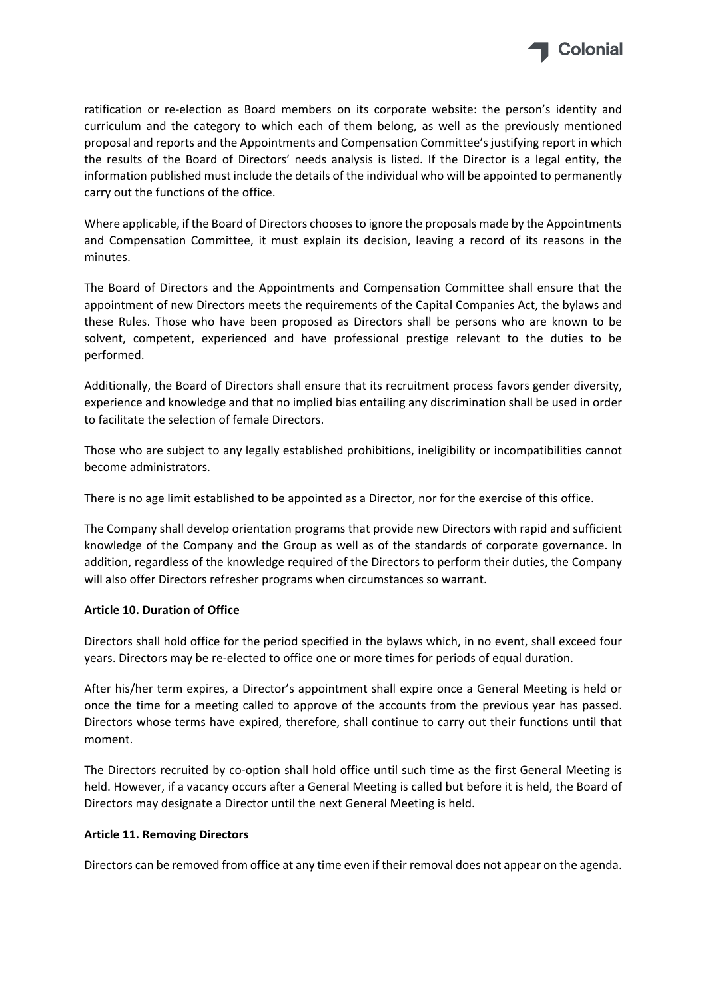

ratification or re-election as Board members on its corporate website: the person's identity and curriculum and the category to which each of them belong, as well as the previously mentioned proposal and reports and the Appointments and Compensation Committee's justifying report in which the results of the Board of Directors' needs analysis is listed. If the Director is a legal entity, the information published must include the details of the individual who will be appointed to permanently carry out the functions of the office.

Where applicable, if the Board of Directors chooses to ignore the proposals made by the Appointments and Compensation Committee, it must explain its decision, leaving a record of its reasons in the minutes.

The Board of Directors and the Appointments and Compensation Committee shall ensure that the appointment of new Directors meets the requirements of the Capital Companies Act, the bylaws and these Rules. Those who have been proposed as Directors shall be persons who are known to be solvent, competent, experienced and have professional prestige relevant to the duties to be performed.

Additionally, the Board of Directors shall ensure that its recruitment process favors gender diversity, experience and knowledge and that no implied bias entailing any discrimination shall be used in order to facilitate the selection of female Directors.

Those who are subject to any legally established prohibitions, ineligibility or incompatibilities cannot become administrators.

There is no age limit established to be appointed as a Director, nor for the exercise of this office.

The Company shall develop orientation programs that provide new Directors with rapid and sufficient knowledge of the Company and the Group as well as of the standards of corporate governance. In addition, regardless of the knowledge required of the Directors to perform their duties, the Company will also offer Directors refresher programs when circumstances so warrant.

## **Article 10. Duration of Office**

Directors shall hold office for the period specified in the bylaws which, in no event, shall exceed four years. Directors may be re‐elected to office one or more times for periods of equal duration.

After his/her term expires, a Director's appointment shall expire once a General Meeting is held or once the time for a meeting called to approve of the accounts from the previous year has passed. Directors whose terms have expired, therefore, shall continue to carry out their functions until that moment.

The Directors recruited by co-option shall hold office until such time as the first General Meeting is held. However, if a vacancy occurs after a General Meeting is called but before it is held, the Board of Directors may designate a Director until the next General Meeting is held.

## **Article 11. Removing Directors**

Directors can be removed from office at any time even if their removal does not appear on the agenda.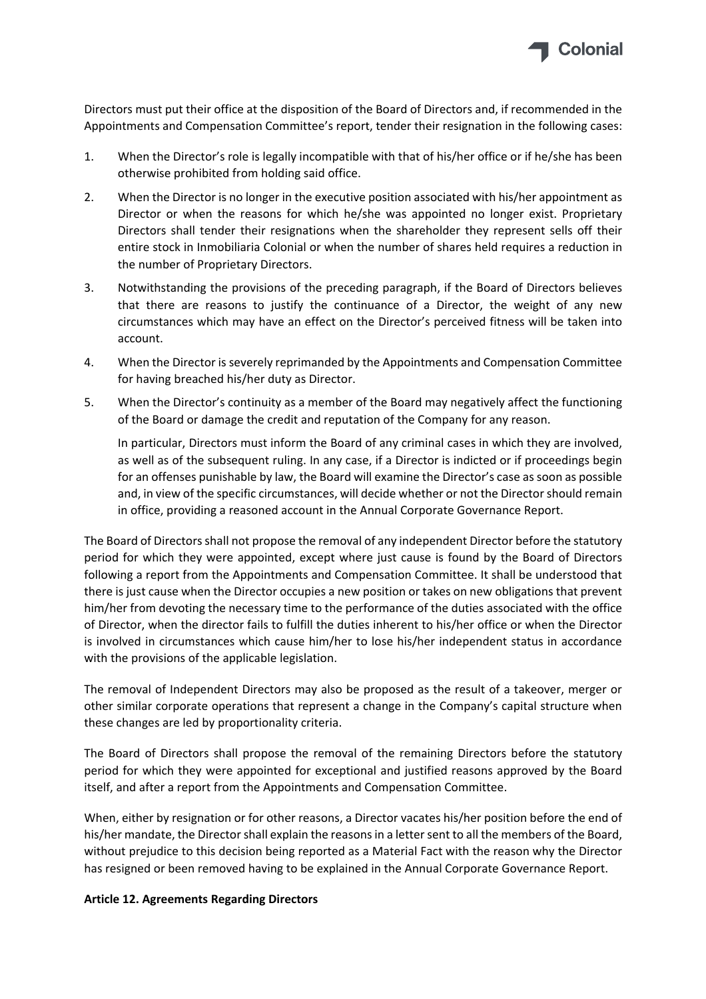

Directors must put their office at the disposition of the Board of Directors and, if recommended in the Appointments and Compensation Committee's report, tender their resignation in the following cases:

- 1. When the Director's role is legally incompatible with that of his/her office or if he/she has been otherwise prohibited from holding said office.
- 2. When the Director is no longer in the executive position associated with his/her appointment as Director or when the reasons for which he/she was appointed no longer exist. Proprietary Directors shall tender their resignations when the shareholder they represent sells off their entire stock in Inmobiliaria Colonial or when the number of shares held requires a reduction in the number of Proprietary Directors.
- 3. Notwithstanding the provisions of the preceding paragraph, if the Board of Directors believes that there are reasons to justify the continuance of a Director, the weight of any new circumstances which may have an effect on the Director's perceived fitness will be taken into account.
- 4. When the Director is severely reprimanded by the Appointments and Compensation Committee for having breached his/her duty as Director.
- 5. When the Director's continuity as a member of the Board may negatively affect the functioning of the Board or damage the credit and reputation of the Company for any reason.

In particular, Directors must inform the Board of any criminal cases in which they are involved, as well as of the subsequent ruling. In any case, if a Director is indicted or if proceedings begin for an offenses punishable by law, the Board will examine the Director's case as soon as possible and, in view of the specific circumstances, will decide whether or not the Directorshould remain in office, providing a reasoned account in the Annual Corporate Governance Report.

The Board of Directorsshall not propose the removal of any independent Director before the statutory period for which they were appointed, except where just cause is found by the Board of Directors following a report from the Appointments and Compensation Committee. It shall be understood that there is just cause when the Director occupies a new position or takes on new obligations that prevent him/her from devoting the necessary time to the performance of the duties associated with the office of Director, when the director fails to fulfill the duties inherent to his/her office or when the Director is involved in circumstances which cause him/her to lose his/her independent status in accordance with the provisions of the applicable legislation.

The removal of Independent Directors may also be proposed as the result of a takeover, merger or other similar corporate operations that represent a change in the Company's capital structure when these changes are led by proportionality criteria.

The Board of Directors shall propose the removal of the remaining Directors before the statutory period for which they were appointed for exceptional and justified reasons approved by the Board itself, and after a report from the Appointments and Compensation Committee.

When, either by resignation or for other reasons, a Director vacates his/her position before the end of his/her mandate, the Director shall explain the reasons in a letter sent to all the members of the Board, without prejudice to this decision being reported as a Material Fact with the reason why the Director has resigned or been removed having to be explained in the Annual Corporate Governance Report.

## **Article 12. Agreements Regarding Directors**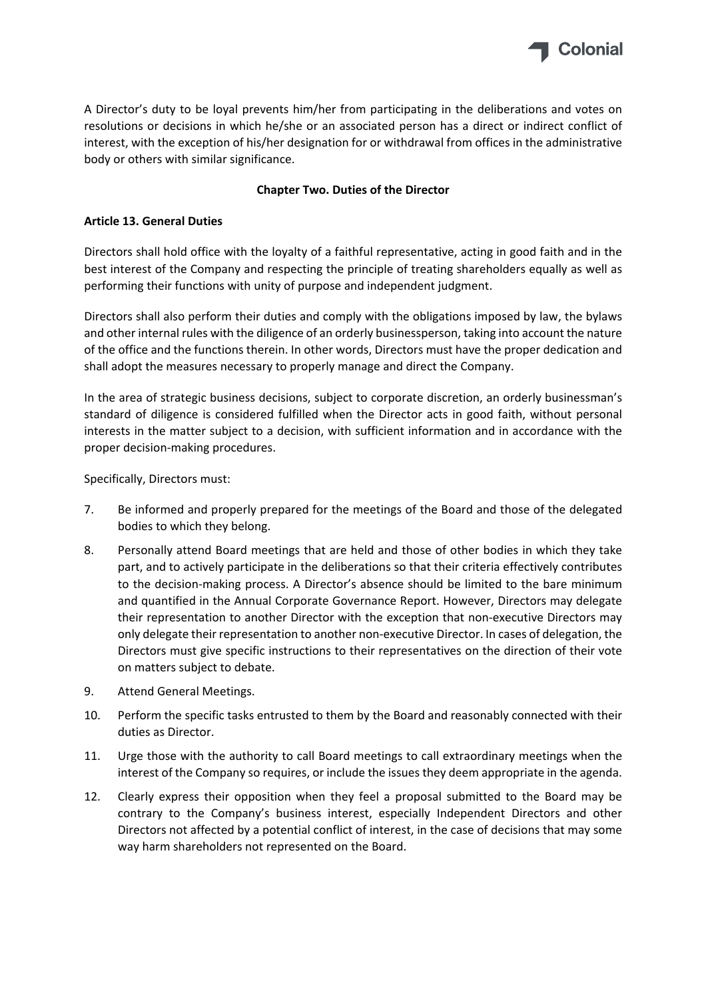

A Director's duty to be loyal prevents him/her from participating in the deliberations and votes on resolutions or decisions in which he/she or an associated person has a direct or indirect conflict of interest, with the exception of his/her designation for or withdrawal from offices in the administrative body or others with similar significance.

# **Chapter Two. Duties of the Director**

# **Article 13. General Duties**

Directors shall hold office with the loyalty of a faithful representative, acting in good faith and in the best interest of the Company and respecting the principle of treating shareholders equally as well as performing their functions with unity of purpose and independent judgment.

Directors shall also perform their duties and comply with the obligations imposed by law, the bylaws and other internal rules with the diligence of an orderly businessperson, taking into account the nature of the office and the functions therein. In other words, Directors must have the proper dedication and shall adopt the measures necessary to properly manage and direct the Company.

In the area of strategic business decisions, subject to corporate discretion, an orderly businessman's standard of diligence is considered fulfilled when the Director acts in good faith, without personal interests in the matter subject to a decision, with sufficient information and in accordance with the proper decision‐making procedures.

Specifically, Directors must:

- 7. Be informed and properly prepared for the meetings of the Board and those of the delegated bodies to which they belong.
- 8. Personally attend Board meetings that are held and those of other bodies in which they take part, and to actively participate in the deliberations so that their criteria effectively contributes to the decision‐making process. A Director's absence should be limited to the bare minimum and quantified in the Annual Corporate Governance Report. However, Directors may delegate their representation to another Director with the exception that non‐executive Directors may only delegate their representation to another non‐executive Director. In cases of delegation, the Directors must give specific instructions to their representatives on the direction of their vote on matters subject to debate.
- 9. Attend General Meetings.
- 10. Perform the specific tasks entrusted to them by the Board and reasonably connected with their duties as Director.
- 11. Urge those with the authority to call Board meetings to call extraordinary meetings when the interest of the Company so requires, or include the issues they deem appropriate in the agenda.
- 12. Clearly express their opposition when they feel a proposal submitted to the Board may be contrary to the Company's business interest, especially Independent Directors and other Directors not affected by a potential conflict of interest, in the case of decisions that may some way harm shareholders not represented on the Board.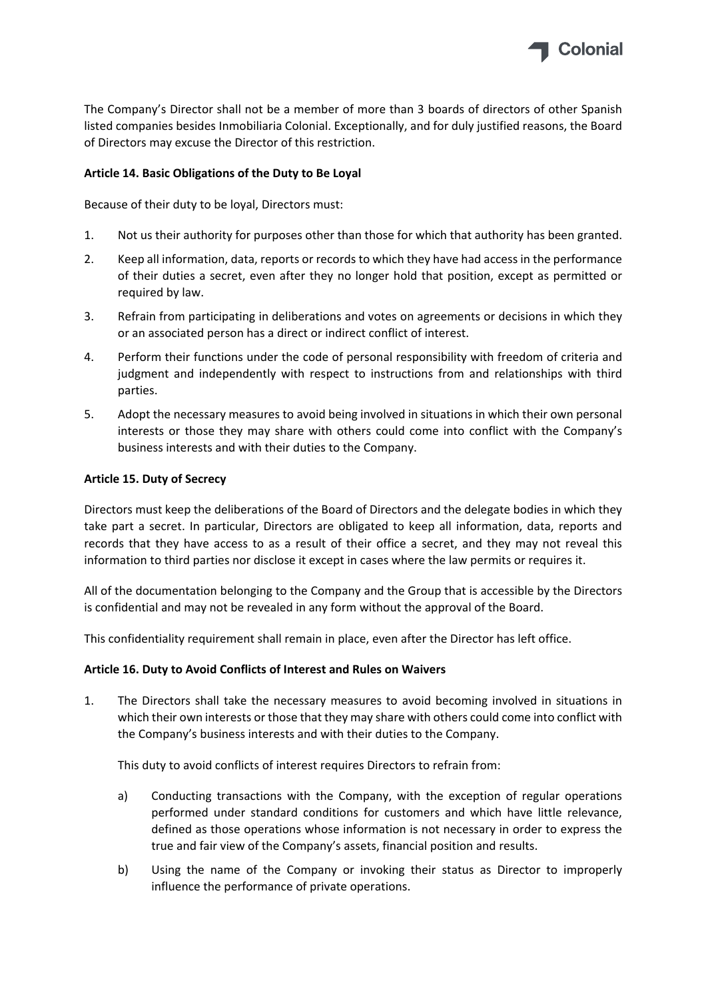

The Company's Director shall not be a member of more than 3 boards of directors of other Spanish listed companies besides Inmobiliaria Colonial. Exceptionally, and for duly justified reasons, the Board of Directors may excuse the Director of this restriction.

# **Article 14. Basic Obligations of the Duty to Be Loyal**

Because of their duty to be loyal, Directors must:

- 1. Not us their authority for purposes other than those for which that authority has been granted.
- 2. Keep all information, data, reports or records to which they have had access in the performance of their duties a secret, even after they no longer hold that position, except as permitted or required by law.
- 3. Refrain from participating in deliberations and votes on agreements or decisions in which they or an associated person has a direct or indirect conflict of interest.
- 4. Perform their functions under the code of personal responsibility with freedom of criteria and judgment and independently with respect to instructions from and relationships with third parties.
- 5. Adopt the necessary measures to avoid being involved in situations in which their own personal interests or those they may share with others could come into conflict with the Company's business interests and with their duties to the Company.

## **Article 15. Duty of Secrecy**

Directors must keep the deliberations of the Board of Directors and the delegate bodies in which they take part a secret. In particular, Directors are obligated to keep all information, data, reports and records that they have access to as a result of their office a secret, and they may not reveal this information to third parties nor disclose it except in cases where the law permits or requires it.

All of the documentation belonging to the Company and the Group that is accessible by the Directors is confidential and may not be revealed in any form without the approval of the Board.

This confidentiality requirement shall remain in place, even after the Director has left office.

## **Article 16. Duty to Avoid Conflicts of Interest and Rules on Waivers**

1. The Directors shall take the necessary measures to avoid becoming involved in situations in which their own interests or those that they may share with others could come into conflict with the Company's business interests and with their duties to the Company.

This duty to avoid conflicts of interest requires Directors to refrain from:

- a) Conducting transactions with the Company, with the exception of regular operations performed under standard conditions for customers and which have little relevance, defined as those operations whose information is not necessary in order to express the true and fair view of the Company's assets, financial position and results.
- b) Using the name of the Company or invoking their status as Director to improperly influence the performance of private operations.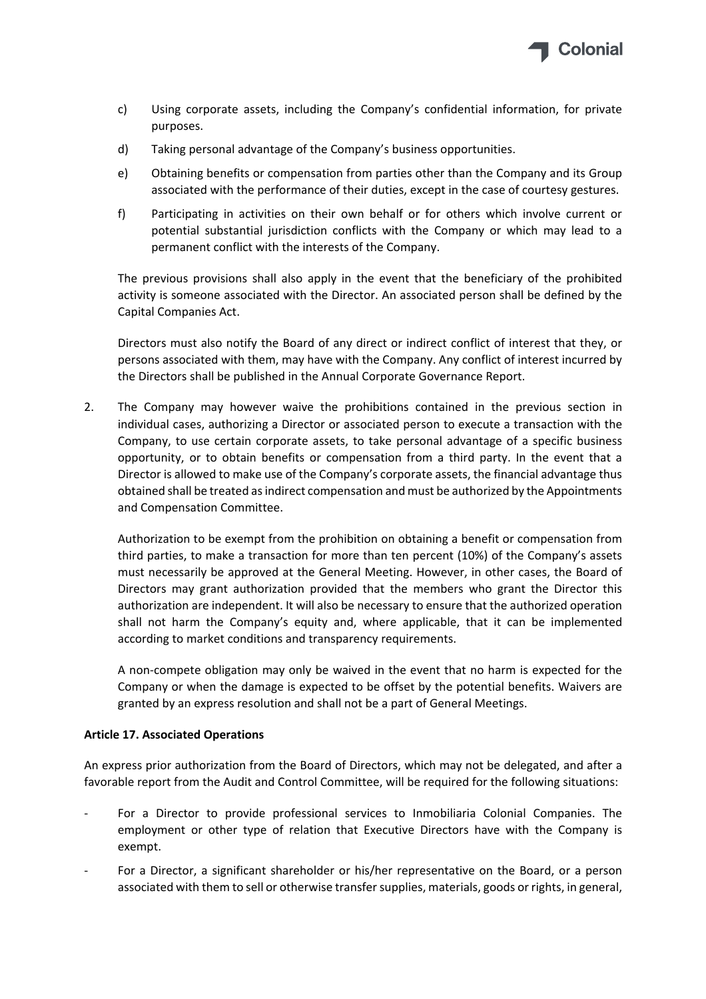

- c) Using corporate assets, including the Company's confidential information, for private purposes.
- d) Taking personal advantage of the Company's business opportunities.
- e) Obtaining benefits or compensation from parties other than the Company and its Group associated with the performance of their duties, except in the case of courtesy gestures.
- f) Participating in activities on their own behalf or for others which involve current or potential substantial jurisdiction conflicts with the Company or which may lead to a permanent conflict with the interests of the Company.

The previous provisions shall also apply in the event that the beneficiary of the prohibited activity is someone associated with the Director. An associated person shall be defined by the Capital Companies Act.

Directors must also notify the Board of any direct or indirect conflict of interest that they, or persons associated with them, may have with the Company. Any conflict of interest incurred by the Directors shall be published in the Annual Corporate Governance Report.

2. The Company may however waive the prohibitions contained in the previous section in individual cases, authorizing a Director or associated person to execute a transaction with the Company, to use certain corporate assets, to take personal advantage of a specific business opportunity, or to obtain benefits or compensation from a third party. In the event that a Director is allowed to make use of the Company's corporate assets, the financial advantage thus obtained shall be treated asindirect compensation and must be authorized by the Appointments and Compensation Committee.

Authorization to be exempt from the prohibition on obtaining a benefit or compensation from third parties, to make a transaction for more than ten percent (10%) of the Company's assets must necessarily be approved at the General Meeting. However, in other cases, the Board of Directors may grant authorization provided that the members who grant the Director this authorization are independent. It will also be necessary to ensure that the authorized operation shall not harm the Company's equity and, where applicable, that it can be implemented according to market conditions and transparency requirements.

A non‐compete obligation may only be waived in the event that no harm is expected for the Company or when the damage is expected to be offset by the potential benefits. Waivers are granted by an express resolution and shall not be a part of General Meetings.

## **Article 17. Associated Operations**

An express prior authorization from the Board of Directors, which may not be delegated, and after a favorable report from the Audit and Control Committee, will be required for the following situations:

- ‐ For a Director to provide professional services to Inmobiliaria Colonial Companies. The employment or other type of relation that Executive Directors have with the Company is exempt.
- ‐ For a Director, a significant shareholder or his/her representative on the Board, or a person associated with them to sell or otherwise transfer supplies, materials, goods or rights, in general,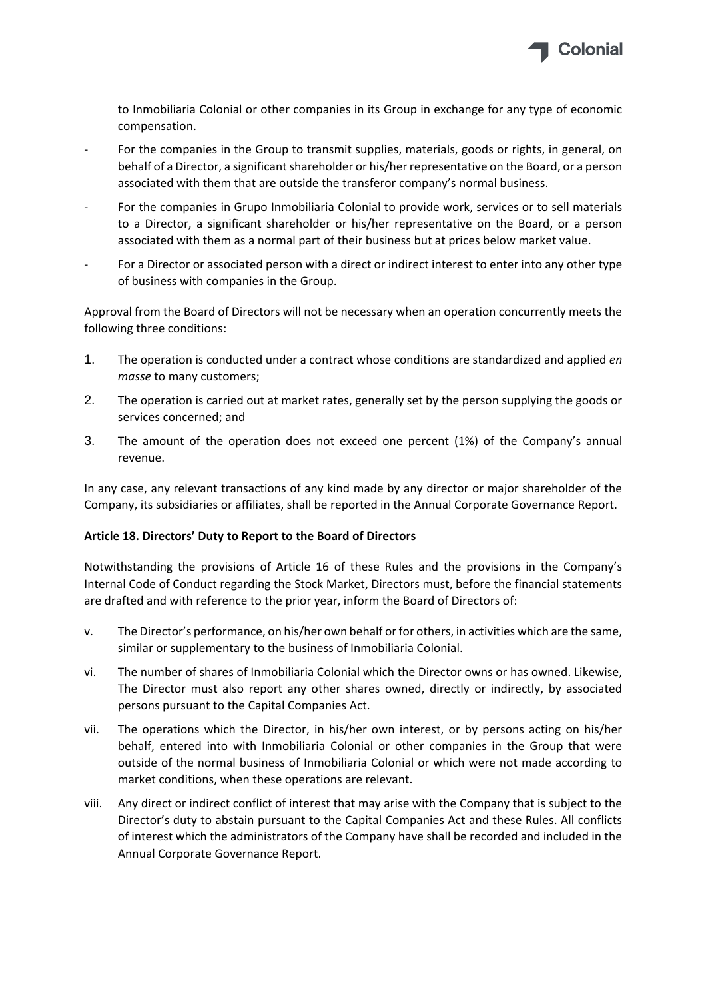

to Inmobiliaria Colonial or other companies in its Group in exchange for any type of economic compensation.

- For the companies in the Group to transmit supplies, materials, goods or rights, in general, on behalf of a Director, a significant shareholder or his/her representative on the Board, or a person associated with them that are outside the transferor company's normal business.
- ‐ For the companies in Grupo Inmobiliaria Colonial to provide work, services or to sell materials to a Director, a significant shareholder or his/her representative on the Board, or a person associated with them as a normal part of their business but at prices below market value.
- For a Director or associated person with a direct or indirect interest to enter into any other type of business with companies in the Group.

Approval from the Board of Directors will not be necessary when an operation concurrently meets the following three conditions:

- 1. The operation is conducted under a contract whose conditions are standardized and applied *en masse* to many customers;
- 2. The operation is carried out at market rates, generally set by the person supplying the goods or services concerned; and
- 3. The amount of the operation does not exceed one percent (1%) of the Company's annual revenue.

In any case, any relevant transactions of any kind made by any director or major shareholder of the Company, its subsidiaries or affiliates, shall be reported in the Annual Corporate Governance Report.

## **Article 18. Directors' Duty to Report to the Board of Directors**

Notwithstanding the provisions of Article 16 of these Rules and the provisions in the Company's Internal Code of Conduct regarding the Stock Market, Directors must, before the financial statements are drafted and with reference to the prior year, inform the Board of Directors of:

- v. The Director's performance, on his/her own behalf or for others, in activities which are the same, similar or supplementary to the business of Inmobiliaria Colonial.
- vi. The number of shares of Inmobiliaria Colonial which the Director owns or has owned. Likewise, The Director must also report any other shares owned, directly or indirectly, by associated persons pursuant to the Capital Companies Act.
- vii. The operations which the Director, in his/her own interest, or by persons acting on his/her behalf, entered into with Inmobiliaria Colonial or other companies in the Group that were outside of the normal business of Inmobiliaria Colonial or which were not made according to market conditions, when these operations are relevant.
- viii. Any direct or indirect conflict of interest that may arise with the Company that is subject to the Director's duty to abstain pursuant to the Capital Companies Act and these Rules. All conflicts of interest which the administrators of the Company have shall be recorded and included in the Annual Corporate Governance Report.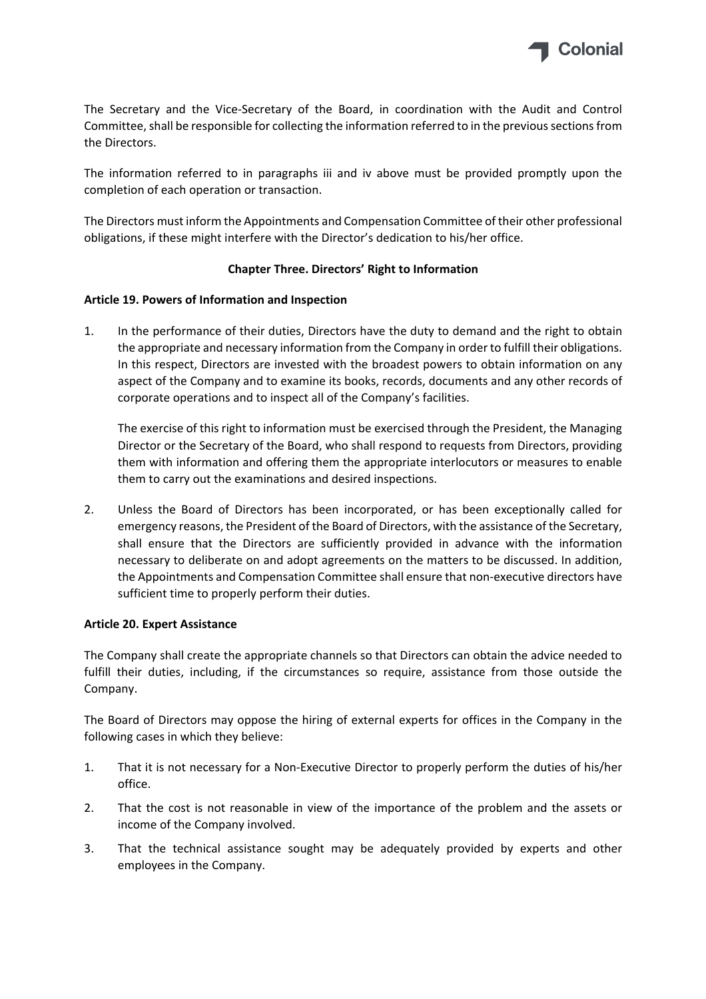

The Secretary and the Vice‐Secretary of the Board, in coordination with the Audit and Control Committee, shall be responsible for collecting the information referred to in the previous sections from the Directors.

The information referred to in paragraphs iii and iv above must be provided promptly upon the completion of each operation or transaction.

The Directors must inform the Appointments and Compensation Committee of their other professional obligations, if these might interfere with the Director's dedication to his/her office.

## **Chapter Three. Directors' Right to Information**

## **Article 19. Powers of Information and Inspection**

1. In the performance of their duties, Directors have the duty to demand and the right to obtain the appropriate and necessary information from the Company in order to fulfill their obligations. In this respect, Directors are invested with the broadest powers to obtain information on any aspect of the Company and to examine its books, records, documents and any other records of corporate operations and to inspect all of the Company's facilities.

The exercise of this right to information must be exercised through the President, the Managing Director or the Secretary of the Board, who shall respond to requests from Directors, providing them with information and offering them the appropriate interlocutors or measures to enable them to carry out the examinations and desired inspections.

2. Unless the Board of Directors has been incorporated, or has been exceptionally called for emergency reasons, the President of the Board of Directors, with the assistance of the Secretary, shall ensure that the Directors are sufficiently provided in advance with the information necessary to deliberate on and adopt agreements on the matters to be discussed. In addition, the Appointments and Compensation Committee shall ensure that non-executive directors have sufficient time to properly perform their duties.

## **Article 20. Expert Assistance**

The Company shall create the appropriate channels so that Directors can obtain the advice needed to fulfill their duties, including, if the circumstances so require, assistance from those outside the Company.

The Board of Directors may oppose the hiring of external experts for offices in the Company in the following cases in which they believe:

- 1. That it is not necessary for a Non‐Executive Director to properly perform the duties of his/her office.
- 2. That the cost is not reasonable in view of the importance of the problem and the assets or income of the Company involved.
- 3. That the technical assistance sought may be adequately provided by experts and other employees in the Company.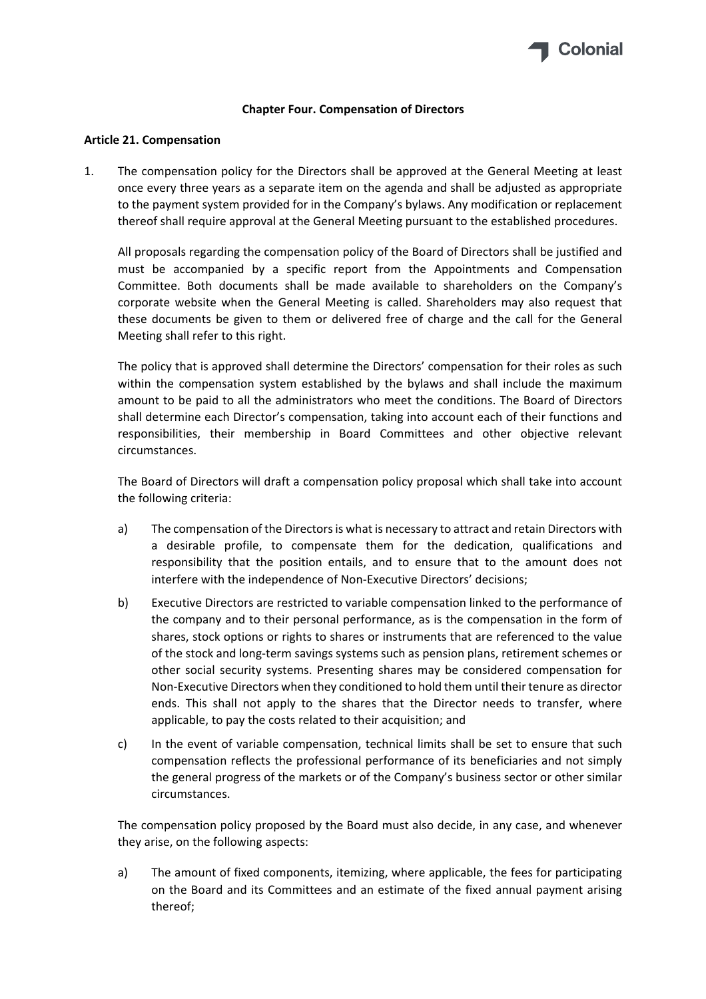

#### **Chapter Four. Compensation of Directors**

#### **Article 21. Compensation**

1. The compensation policy for the Directors shall be approved at the General Meeting at least once every three years as a separate item on the agenda and shall be adjusted as appropriate to the payment system provided for in the Company's bylaws. Any modification or replacement thereof shall require approval at the General Meeting pursuant to the established procedures.

All proposals regarding the compensation policy of the Board of Directors shall be justified and must be accompanied by a specific report from the Appointments and Compensation Committee. Both documents shall be made available to shareholders on the Company's corporate website when the General Meeting is called. Shareholders may also request that these documents be given to them or delivered free of charge and the call for the General Meeting shall refer to this right.

The policy that is approved shall determine the Directors' compensation for their roles as such within the compensation system established by the bylaws and shall include the maximum amount to be paid to all the administrators who meet the conditions. The Board of Directors shall determine each Director's compensation, taking into account each of their functions and responsibilities, their membership in Board Committees and other objective relevant circumstances.

The Board of Directors will draft a compensation policy proposal which shall take into account the following criteria:

- a) The compensation of the Directorsis what is necessary to attract and retain Directors with a desirable profile, to compensate them for the dedication, qualifications and responsibility that the position entails, and to ensure that to the amount does not interfere with the independence of Non-Executive Directors' decisions;
- b) Executive Directors are restricted to variable compensation linked to the performance of the company and to their personal performance, as is the compensation in the form of shares, stock options or rights to shares or instruments that are referenced to the value of the stock and long‐term savings systems such as pension plans, retirement schemes or other social security systems. Presenting shares may be considered compensation for Non‐Executive Directors when they conditioned to hold them until their tenure as director ends. This shall not apply to the shares that the Director needs to transfer, where applicable, to pay the costs related to their acquisition; and
- c) In the event of variable compensation, technical limits shall be set to ensure that such compensation reflects the professional performance of its beneficiaries and not simply the general progress of the markets or of the Company's business sector or other similar circumstances.

The compensation policy proposed by the Board must also decide, in any case, and whenever they arise, on the following aspects:

a) The amount of fixed components, itemizing, where applicable, the fees for participating on the Board and its Committees and an estimate of the fixed annual payment arising thereof;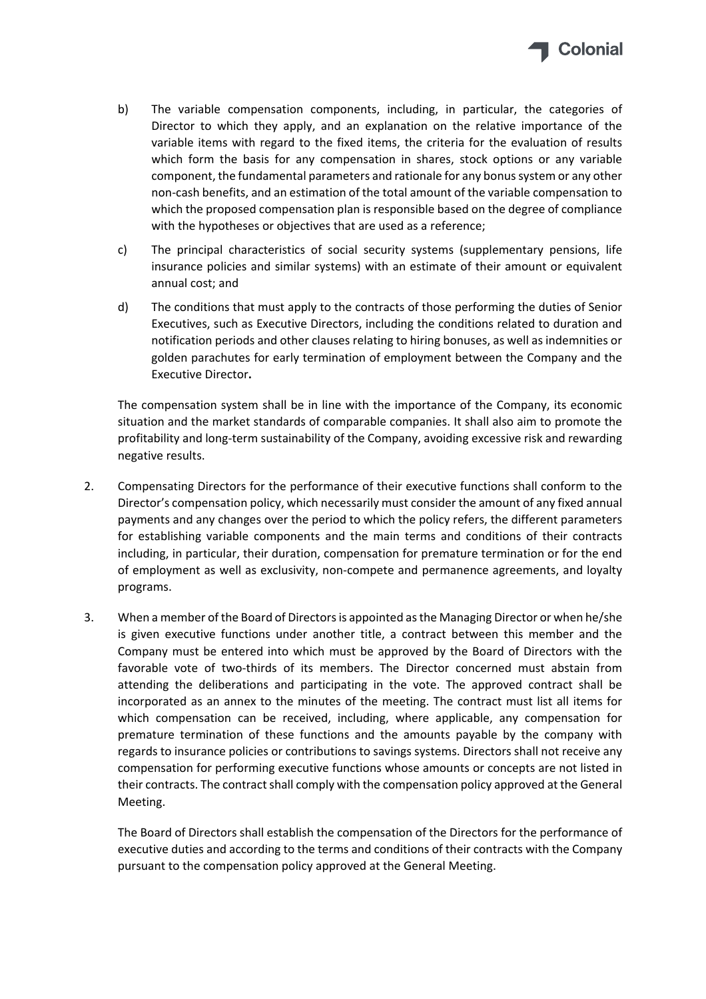

- b) The variable compensation components, including, in particular, the categories of Director to which they apply, and an explanation on the relative importance of the variable items with regard to the fixed items, the criteria for the evaluation of results which form the basis for any compensation in shares, stock options or any variable component, the fundamental parameters and rationale for any bonussystem or any other non‐cash benefits, and an estimation of the total amount of the variable compensation to which the proposed compensation plan is responsible based on the degree of compliance with the hypotheses or objectives that are used as a reference;
- c) The principal characteristics of social security systems (supplementary pensions, life insurance policies and similar systems) with an estimate of their amount or equivalent annual cost; and
- d) The conditions that must apply to the contracts of those performing the duties of Senior Executives, such as Executive Directors, including the conditions related to duration and notification periods and other clauses relating to hiring bonuses, as well as indemnities or golden parachutes for early termination of employment between the Company and the Executive Director**.**

The compensation system shall be in line with the importance of the Company, its economic situation and the market standards of comparable companies. It shall also aim to promote the profitability and long‐term sustainability of the Company, avoiding excessive risk and rewarding negative results.

- 2. Compensating Directors for the performance of their executive functions shall conform to the Director's compensation policy, which necessarily must consider the amount of any fixed annual payments and any changes over the period to which the policy refers, the different parameters for establishing variable components and the main terms and conditions of their contracts including, in particular, their duration, compensation for premature termination or for the end of employment as well as exclusivity, non‐compete and permanence agreements, and loyalty programs.
- 3. When a member of the Board of Directors is appointed as the Managing Director or when he/she is given executive functions under another title, a contract between this member and the Company must be entered into which must be approved by the Board of Directors with the favorable vote of two-thirds of its members. The Director concerned must abstain from attending the deliberations and participating in the vote. The approved contract shall be incorporated as an annex to the minutes of the meeting. The contract must list all items for which compensation can be received, including, where applicable, any compensation for premature termination of these functions and the amounts payable by the company with regards to insurance policies or contributions to savings systems. Directors shall not receive any compensation for performing executive functions whose amounts or concepts are not listed in their contracts. The contract shall comply with the compensation policy approved at the General Meeting.

The Board of Directors shall establish the compensation of the Directors for the performance of executive duties and according to the terms and conditions of their contracts with the Company pursuant to the compensation policy approved at the General Meeting.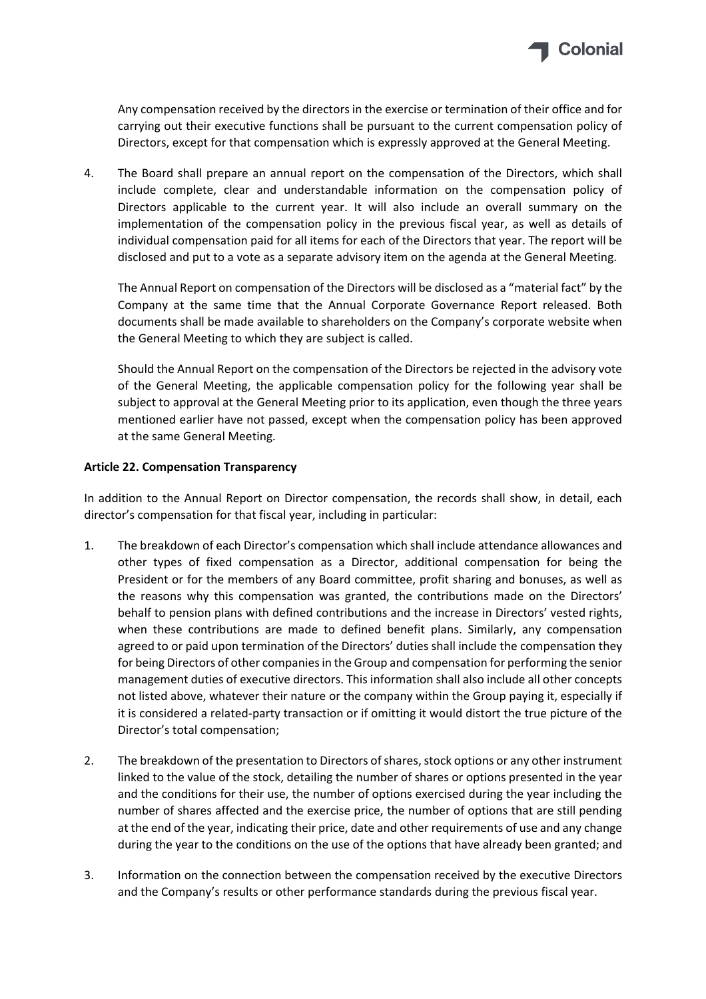

Any compensation received by the directors in the exercise or termination of their office and for carrying out their executive functions shall be pursuant to the current compensation policy of Directors, except for that compensation which is expressly approved at the General Meeting.

4. The Board shall prepare an annual report on the compensation of the Directors, which shall include complete, clear and understandable information on the compensation policy of Directors applicable to the current year. It will also include an overall summary on the implementation of the compensation policy in the previous fiscal year, as well as details of individual compensation paid for all items for each of the Directors that year. The report will be disclosed and put to a vote as a separate advisory item on the agenda at the General Meeting.

The Annual Report on compensation of the Directors will be disclosed as a "material fact" by the Company at the same time that the Annual Corporate Governance Report released. Both documents shall be made available to shareholders on the Company's corporate website when the General Meeting to which they are subject is called.

Should the Annual Report on the compensation of the Directors be rejected in the advisory vote of the General Meeting, the applicable compensation policy for the following year shall be subject to approval at the General Meeting prior to its application, even though the three years mentioned earlier have not passed, except when the compensation policy has been approved at the same General Meeting.

## **Article 22. Compensation Transparency**

In addition to the Annual Report on Director compensation, the records shall show, in detail, each director's compensation for that fiscal year, including in particular:

- 1. The breakdown of each Director's compensation which shall include attendance allowances and other types of fixed compensation as a Director, additional compensation for being the President or for the members of any Board committee, profit sharing and bonuses, as well as the reasons why this compensation was granted, the contributions made on the Directors' behalf to pension plans with defined contributions and the increase in Directors' vested rights, when these contributions are made to defined benefit plans. Similarly, any compensation agreed to or paid upon termination of the Directors' duties shall include the compensation they for being Directors of other companies in the Group and compensation for performing the senior management duties of executive directors. This information shall also include all other concepts not listed above, whatever their nature or the company within the Group paying it, especially if it is considered a related‐party transaction or if omitting it would distort the true picture of the Director's total compensation;
- 2. The breakdown of the presentation to Directors of shares, stock options or any other instrument linked to the value of the stock, detailing the number of shares or options presented in the year and the conditions for their use, the number of options exercised during the year including the number of shares affected and the exercise price, the number of options that are still pending at the end of the year, indicating their price, date and other requirements of use and any change during the year to the conditions on the use of the options that have already been granted; and
- 3. Information on the connection between the compensation received by the executive Directors and the Company's results or other performance standards during the previous fiscal year.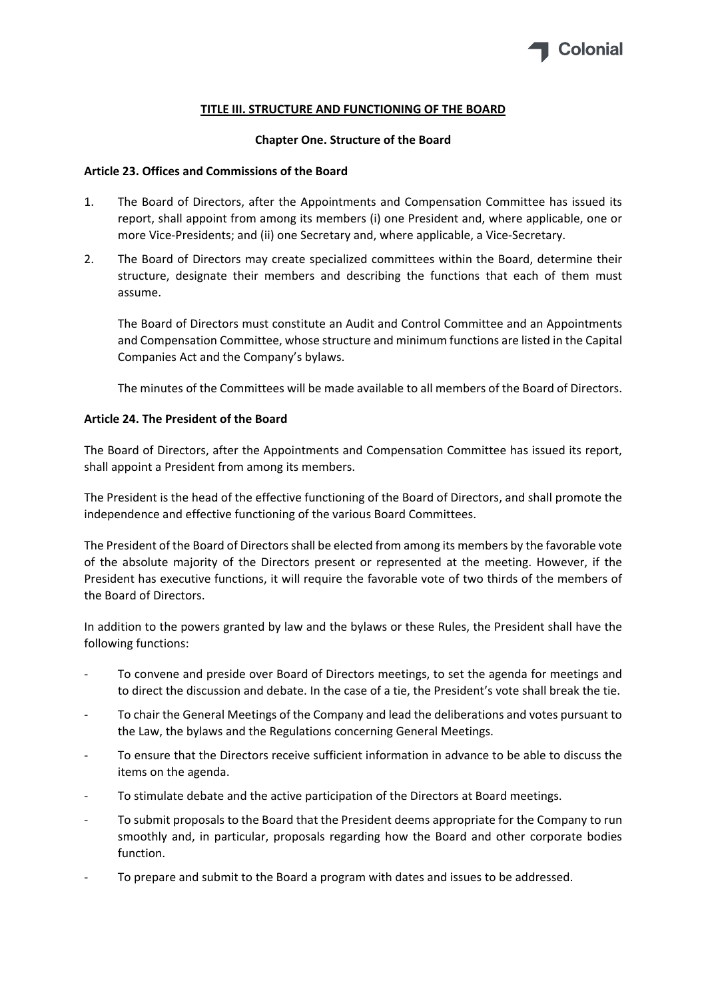

## **TITLE III. STRUCTURE AND FUNCTIONING OF THE BOARD**

#### **Chapter One. Structure of the Board**

#### **Article 23. Offices and Commissions of the Board**

- 1. The Board of Directors, after the Appointments and Compensation Committee has issued its report, shall appoint from among its members (i) one President and, where applicable, one or more Vice‐Presidents; and (ii) one Secretary and, where applicable, a Vice‐Secretary.
- 2. The Board of Directors may create specialized committees within the Board, determine their structure, designate their members and describing the functions that each of them must assume.

The Board of Directors must constitute an Audit and Control Committee and an Appointments and Compensation Committee, whose structure and minimum functions are listed in the Capital Companies Act and the Company's bylaws.

The minutes of the Committees will be made available to all members of the Board of Directors.

## **Article 24. The President of the Board**

The Board of Directors, after the Appointments and Compensation Committee has issued its report, shall appoint a President from among its members.

The President is the head of the effective functioning of the Board of Directors, and shall promote the independence and effective functioning of the various Board Committees.

The President of the Board of Directorsshall be elected from among its members by the favorable vote of the absolute majority of the Directors present or represented at the meeting. However, if the President has executive functions, it will require the favorable vote of two thirds of the members of the Board of Directors.

In addition to the powers granted by law and the bylaws or these Rules, the President shall have the following functions:

- ‐ To convene and preside over Board of Directors meetings, to set the agenda for meetings and to direct the discussion and debate. In the case of a tie, the President's vote shall break the tie.
- ‐ To chair the General Meetings of the Company and lead the deliberations and votes pursuant to the Law, the bylaws and the Regulations concerning General Meetings.
- ‐ To ensure that the Directors receive sufficient information in advance to be able to discuss the items on the agenda.
- ‐ To stimulate debate and the active participation of the Directors at Board meetings.
- To submit proposals to the Board that the President deems appropriate for the Company to run smoothly and, in particular, proposals regarding how the Board and other corporate bodies function.
- ‐ To prepare and submit to the Board a program with dates and issues to be addressed.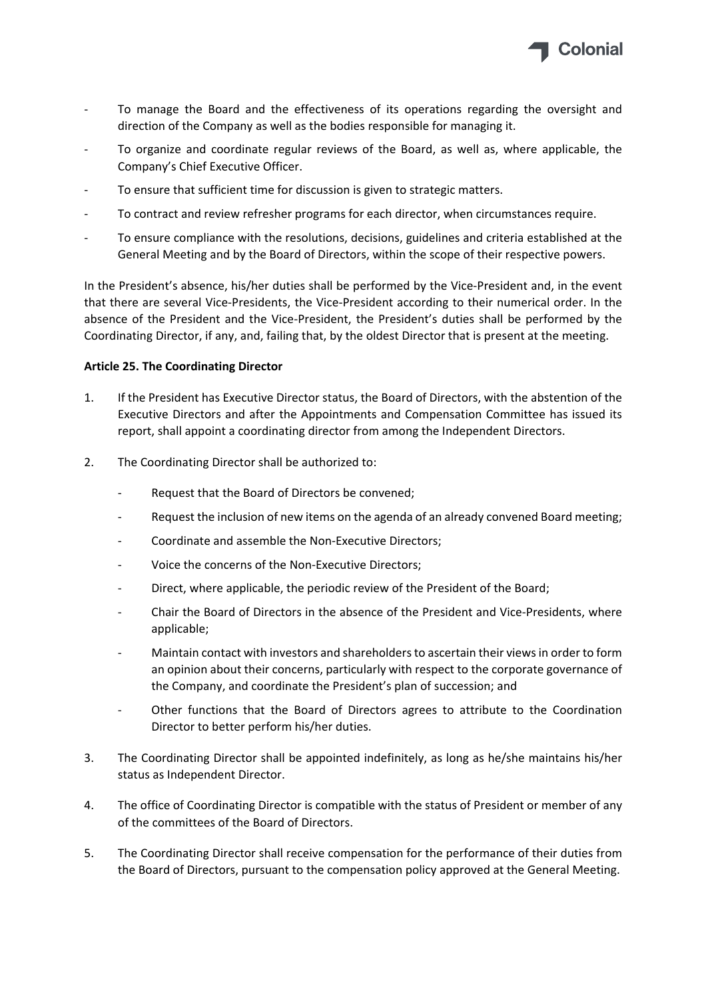

- ‐ To manage the Board and the effectiveness of its operations regarding the oversight and direction of the Company as well as the bodies responsible for managing it.
- ‐ To organize and coordinate regular reviews of the Board, as well as, where applicable, the Company's Chief Executive Officer.
- To ensure that sufficient time for discussion is given to strategic matters.
- ‐ To contract and review refresher programs for each director, when circumstances require.
- ‐ To ensure compliance with the resolutions, decisions, guidelines and criteria established at the General Meeting and by the Board of Directors, within the scope of their respective powers.

In the President's absence, his/her duties shall be performed by the Vice‐President and, in the event that there are several Vice‐Presidents, the Vice‐President according to their numerical order. In the absence of the President and the Vice‐President, the President's duties shall be performed by the Coordinating Director, if any, and, failing that, by the oldest Director that is present at the meeting.

## **Article 25. The Coordinating Director**

- 1. If the President has Executive Director status, the Board of Directors, with the abstention of the Executive Directors and after the Appointments and Compensation Committee has issued its report, shall appoint a coordinating director from among the Independent Directors.
- 2. The Coordinating Director shall be authorized to:
	- ‐ Request that the Board of Directors be convened;
	- Request the inclusion of new items on the agenda of an already convened Board meeting;
	- ‐ Coordinate and assemble the Non‐Executive Directors;
	- Voice the concerns of the Non-Executive Directors;
	- ‐ Direct, where applicable, the periodic review of the President of the Board;
	- ‐ Chair the Board of Directors in the absence of the President and Vice‐Presidents, where applicable;
	- Maintain contact with investors and shareholders to ascertain their views in order to form an opinion about their concerns, particularly with respect to the corporate governance of the Company, and coordinate the President's plan of succession; and
	- Other functions that the Board of Directors agrees to attribute to the Coordination Director to better perform his/her duties.
- 3. The Coordinating Director shall be appointed indefinitely, as long as he/she maintains his/her status as Independent Director.
- 4. The office of Coordinating Director is compatible with the status of President or member of any of the committees of the Board of Directors.
- 5. The Coordinating Director shall receive compensation for the performance of their duties from the Board of Directors, pursuant to the compensation policy approved at the General Meeting.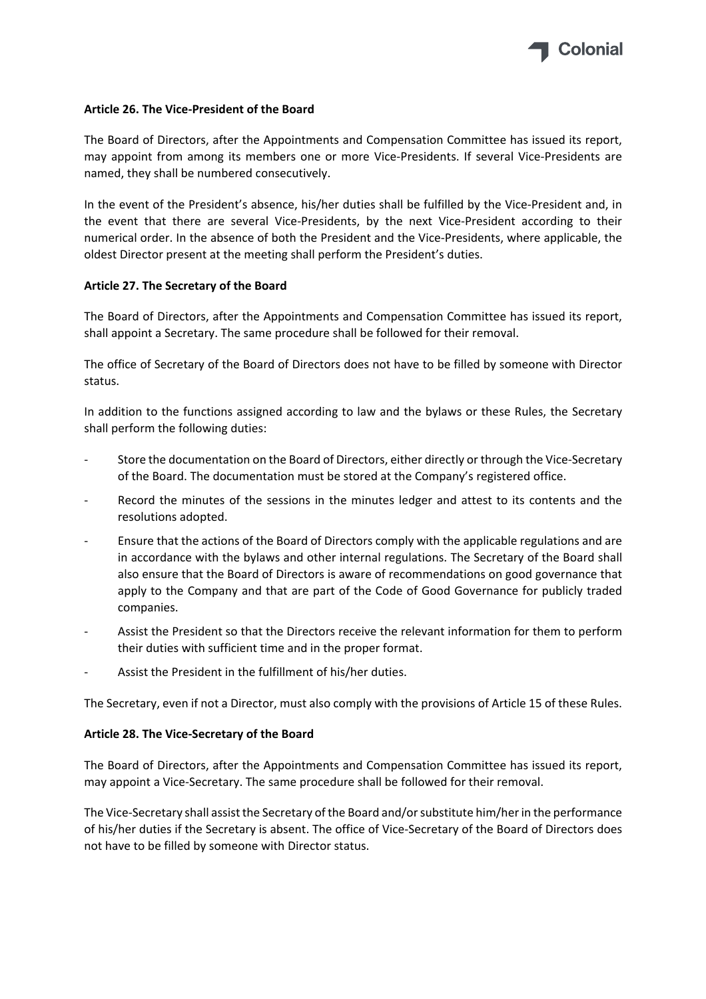

#### **Article 26. The Vice‐President of the Board**

The Board of Directors, after the Appointments and Compensation Committee has issued its report, may appoint from among its members one or more Vice‐Presidents. If several Vice‐Presidents are named, they shall be numbered consecutively.

In the event of the President's absence, his/her duties shall be fulfilled by the Vice-President and, in the event that there are several Vice‐Presidents, by the next Vice‐President according to their numerical order. In the absence of both the President and the Vice‐Presidents, where applicable, the oldest Director present at the meeting shall perform the President's duties.

#### **Article 27. The Secretary of the Board**

The Board of Directors, after the Appointments and Compensation Committee has issued its report, shall appoint a Secretary. The same procedure shall be followed for their removal.

The office of Secretary of the Board of Directors does not have to be filled by someone with Director status.

In addition to the functions assigned according to law and the bylaws or these Rules, the Secretary shall perform the following duties:

- Store the documentation on the Board of Directors, either directly or through the Vice-Secretary of the Board. The documentation must be stored at the Company's registered office.
- Record the minutes of the sessions in the minutes ledger and attest to its contents and the resolutions adopted.
- ‐ Ensure that the actions of the Board of Directors comply with the applicable regulations and are in accordance with the bylaws and other internal regulations. The Secretary of the Board shall also ensure that the Board of Directors is aware of recommendations on good governance that apply to the Company and that are part of the Code of Good Governance for publicly traded companies.
- ‐ Assist the President so that the Directors receive the relevant information for them to perform their duties with sufficient time and in the proper format.
- ‐ Assist the President in the fulfillment of his/her duties.

The Secretary, even if not a Director, must also comply with the provisions of Article 15 of these Rules.

#### **Article 28. The Vice‐Secretary of the Board**

The Board of Directors, after the Appointments and Compensation Committee has issued its report, may appoint a Vice‐Secretary. The same procedure shall be followed for their removal.

The Vice‐Secretary shall assist the Secretary of the Board and/orsubstitute him/herin the performance of his/her duties if the Secretary is absent. The office of Vice‐Secretary of the Board of Directors does not have to be filled by someone with Director status.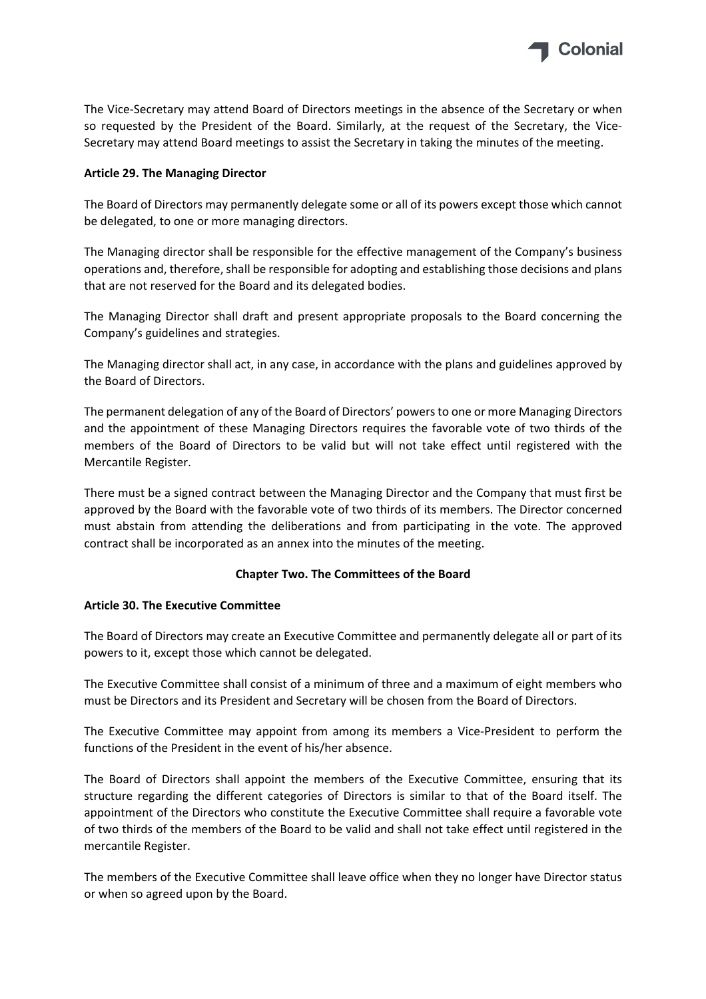

The Vice-Secretary may attend Board of Directors meetings in the absence of the Secretary or when so requested by the President of the Board. Similarly, at the request of the Secretary, the Vice-Secretary may attend Board meetings to assist the Secretary in taking the minutes of the meeting.

# **Article 29. The Managing Director**

The Board of Directors may permanently delegate some or all of its powers except those which cannot be delegated, to one or more managing directors.

The Managing director shall be responsible for the effective management of the Company's business operations and, therefore, shall be responsible for adopting and establishing those decisions and plans that are not reserved for the Board and its delegated bodies.

The Managing Director shall draft and present appropriate proposals to the Board concerning the Company's guidelines and strategies.

The Managing director shall act, in any case, in accordance with the plans and guidelines approved by the Board of Directors.

The permanent delegation of any of the Board of Directors' powersto one or more Managing Directors and the appointment of these Managing Directors requires the favorable vote of two thirds of the members of the Board of Directors to be valid but will not take effect until registered with the Mercantile Register.

There must be a signed contract between the Managing Director and the Company that must first be approved by the Board with the favorable vote of two thirds of its members. The Director concerned must abstain from attending the deliberations and from participating in the vote. The approved contract shall be incorporated as an annex into the minutes of the meeting.

## **Chapter Two. The Committees of the Board**

## **Article 30. The Executive Committee**

The Board of Directors may create an Executive Committee and permanently delegate all or part of its powers to it, except those which cannot be delegated.

The Executive Committee shall consist of a minimum of three and a maximum of eight members who must be Directors and its President and Secretary will be chosen from the Board of Directors.

The Executive Committee may appoint from among its members a Vice-President to perform the functions of the President in the event of his/her absence.

The Board of Directors shall appoint the members of the Executive Committee, ensuring that its structure regarding the different categories of Directors is similar to that of the Board itself. The appointment of the Directors who constitute the Executive Committee shall require a favorable vote of two thirds of the members of the Board to be valid and shall not take effect until registered in the mercantile Register.

The members of the Executive Committee shall leave office when they no longer have Director status or when so agreed upon by the Board.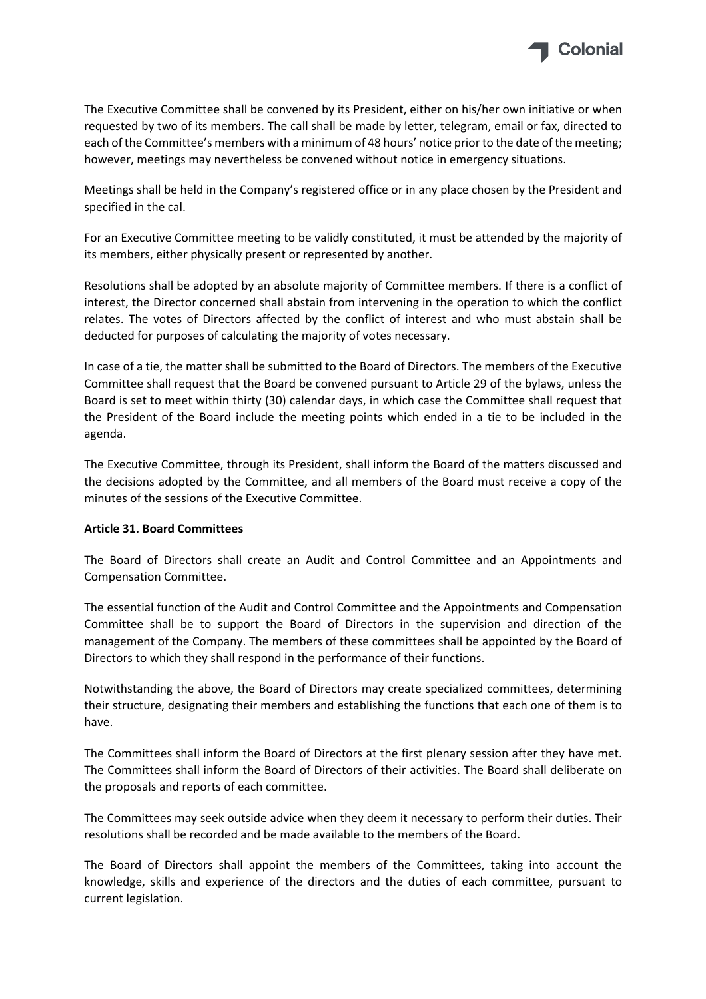

The Executive Committee shall be convened by its President, either on his/her own initiative or when requested by two of its members. The call shall be made by letter, telegram, email or fax, directed to each of the Committee's members with a minimum of 48 hours' notice prior to the date of the meeting; however, meetings may nevertheless be convened without notice in emergency situations.

Meetings shall be held in the Company's registered office or in any place chosen by the President and specified in the cal.

For an Executive Committee meeting to be validly constituted, it must be attended by the majority of its members, either physically present or represented by another.

Resolutions shall be adopted by an absolute majority of Committee members. If there is a conflict of interest, the Director concerned shall abstain from intervening in the operation to which the conflict relates. The votes of Directors affected by the conflict of interest and who must abstain shall be deducted for purposes of calculating the majority of votes necessary.

In case of a tie, the matter shall be submitted to the Board of Directors. The members of the Executive Committee shall request that the Board be convened pursuant to Article 29 of the bylaws, unless the Board is set to meet within thirty (30) calendar days, in which case the Committee shall request that the President of the Board include the meeting points which ended in a tie to be included in the agenda.

The Executive Committee, through its President, shall inform the Board of the matters discussed and the decisions adopted by the Committee, and all members of the Board must receive a copy of the minutes of the sessions of the Executive Committee.

## **Article 31. Board Committees**

The Board of Directors shall create an Audit and Control Committee and an Appointments and Compensation Committee.

The essential function of the Audit and Control Committee and the Appointments and Compensation Committee shall be to support the Board of Directors in the supervision and direction of the management of the Company. The members of these committees shall be appointed by the Board of Directors to which they shall respond in the performance of their functions.

Notwithstanding the above, the Board of Directors may create specialized committees, determining their structure, designating their members and establishing the functions that each one of them is to have.

The Committees shall inform the Board of Directors at the first plenary session after they have met. The Committees shall inform the Board of Directors of their activities. The Board shall deliberate on the proposals and reports of each committee.

The Committees may seek outside advice when they deem it necessary to perform their duties. Their resolutions shall be recorded and be made available to the members of the Board.

The Board of Directors shall appoint the members of the Committees, taking into account the knowledge, skills and experience of the directors and the duties of each committee, pursuant to current legislation.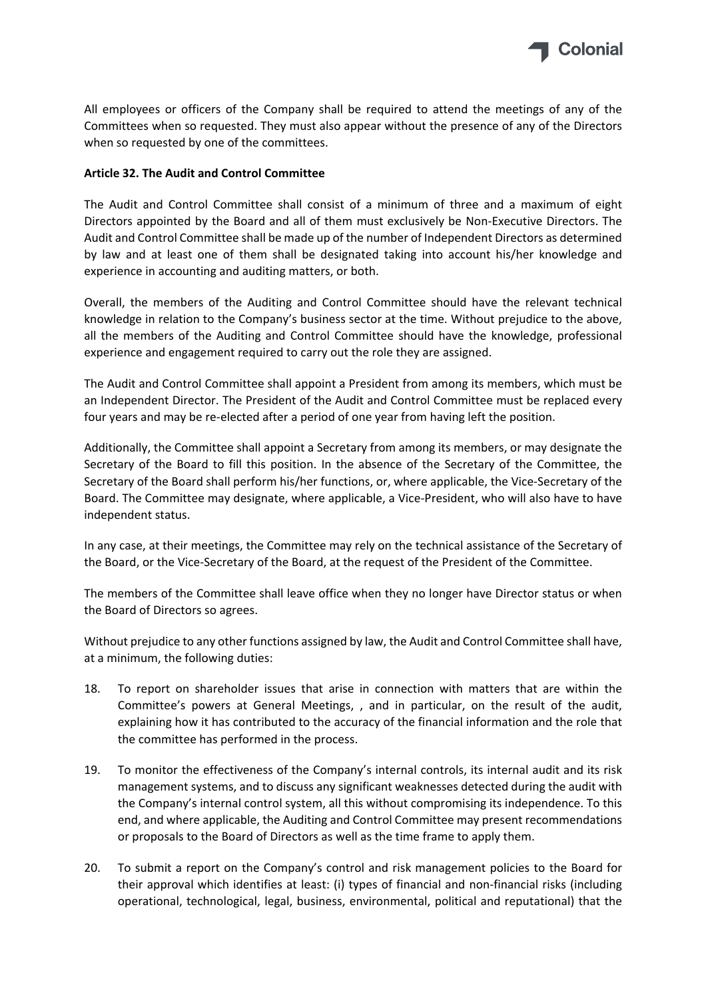

All employees or officers of the Company shall be required to attend the meetings of any of the Committees when so requested. They must also appear without the presence of any of the Directors when so requested by one of the committees.

## **Article 32. The Audit and Control Committee**

The Audit and Control Committee shall consist of a minimum of three and a maximum of eight Directors appointed by the Board and all of them must exclusively be Non-Executive Directors. The Audit and Control Committee shall be made up of the number of Independent Directors as determined by law and at least one of them shall be designated taking into account his/her knowledge and experience in accounting and auditing matters, or both.

Overall, the members of the Auditing and Control Committee should have the relevant technical knowledge in relation to the Company's business sector at the time. Without prejudice to the above, all the members of the Auditing and Control Committee should have the knowledge, professional experience and engagement required to carry out the role they are assigned.

The Audit and Control Committee shall appoint a President from among its members, which must be an Independent Director. The President of the Audit and Control Committee must be replaced every four years and may be re-elected after a period of one year from having left the position.

Additionally, the Committee shall appoint a Secretary from among its members, or may designate the Secretary of the Board to fill this position. In the absence of the Secretary of the Committee, the Secretary of the Board shall perform his/her functions, or, where applicable, the Vice‐Secretary of the Board. The Committee may designate, where applicable, a Vice‐President, who will also have to have independent status.

In any case, at their meetings, the Committee may rely on the technical assistance of the Secretary of the Board, or the Vice‐Secretary of the Board, at the request of the President of the Committee.

The members of the Committee shall leave office when they no longer have Director status or when the Board of Directors so agrees.

Without prejudice to any other functions assigned by law, the Audit and Control Committee shall have, at a minimum, the following duties:

- 18. To report on shareholder issues that arise in connection with matters that are within the Committee's powers at General Meetings, , and in particular, on the result of the audit, explaining how it has contributed to the accuracy of the financial information and the role that the committee has performed in the process.
- 19. To monitor the effectiveness of the Company's internal controls, its internal audit and its risk management systems, and to discuss any significant weaknesses detected during the audit with the Company's internal control system, all this without compromising its independence. To this end, and where applicable, the Auditing and Control Committee may present recommendations or proposals to the Board of Directors as well as the time frame to apply them.
- 20. To submit a report on the Company's control and risk management policies to the Board for their approval which identifies at least: (i) types of financial and non‐financial risks (including operational, technological, legal, business, environmental, political and reputational) that the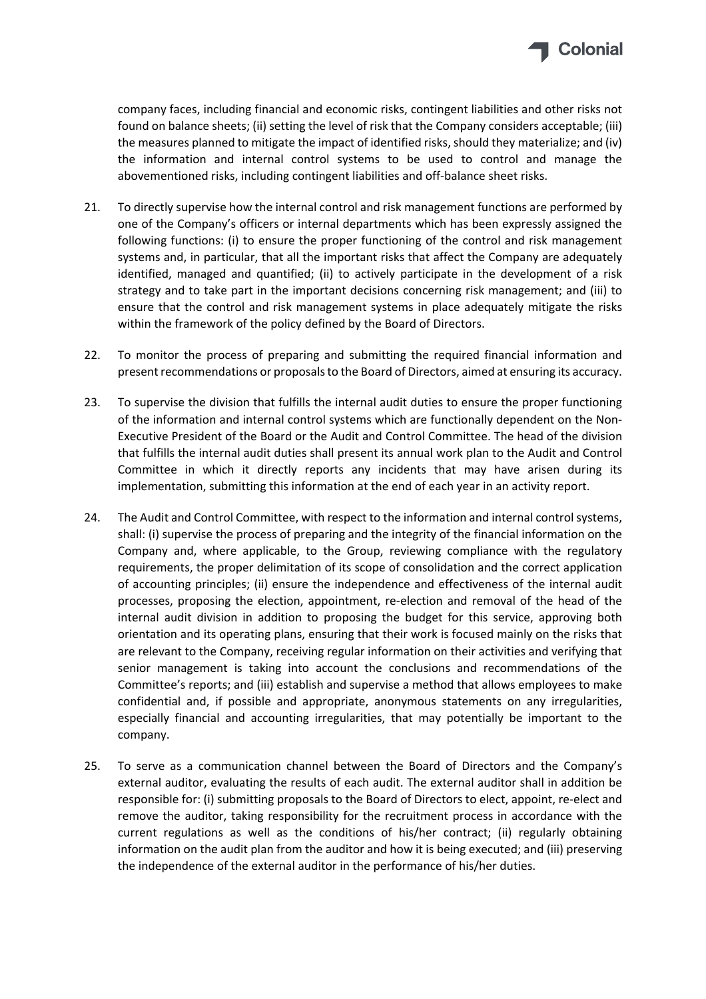

company faces, including financial and economic risks, contingent liabilities and other risks not found on balance sheets; (ii) setting the level of risk that the Company considers acceptable; (iii) the measures planned to mitigate the impact of identified risks, should they materialize; and (iv) the information and internal control systems to be used to control and manage the abovementioned risks, including contingent liabilities and off‐balance sheet risks.

- 21. To directly supervise how the internal control and risk management functions are performed by one of the Company's officers or internal departments which has been expressly assigned the following functions: (i) to ensure the proper functioning of the control and risk management systems and, in particular, that all the important risks that affect the Company are adequately identified, managed and quantified; (ii) to actively participate in the development of a risk strategy and to take part in the important decisions concerning risk management; and (iii) to ensure that the control and risk management systems in place adequately mitigate the risks within the framework of the policy defined by the Board of Directors.
- 22. To monitor the process of preparing and submitting the required financial information and presentrecommendations or proposalsto the Board of Directors, aimed at ensuring its accuracy.
- 23. To supervise the division that fulfills the internal audit duties to ensure the proper functioning of the information and internal control systems which are functionally dependent on the Non‐ Executive President of the Board or the Audit and Control Committee. The head of the division that fulfills the internal audit duties shall present its annual work plan to the Audit and Control Committee in which it directly reports any incidents that may have arisen during its implementation, submitting this information at the end of each year in an activity report.
- 24. The Audit and Control Committee, with respect to the information and internal control systems, shall: (i) supervise the process of preparing and the integrity of the financial information on the Company and, where applicable, to the Group, reviewing compliance with the regulatory requirements, the proper delimitation of its scope of consolidation and the correct application of accounting principles; (ii) ensure the independence and effectiveness of the internal audit processes, proposing the election, appointment, re‐election and removal of the head of the internal audit division in addition to proposing the budget for this service, approving both orientation and its operating plans, ensuring that their work is focused mainly on the risks that are relevant to the Company, receiving regular information on their activities and verifying that senior management is taking into account the conclusions and recommendations of the Committee's reports; and (iii) establish and supervise a method that allows employees to make confidential and, if possible and appropriate, anonymous statements on any irregularities, especially financial and accounting irregularities, that may potentially be important to the company.
- 25. To serve as a communication channel between the Board of Directors and the Company's external auditor, evaluating the results of each audit. The external auditor shall in addition be responsible for: (i) submitting proposals to the Board of Directors to elect, appoint, re‐elect and remove the auditor, taking responsibility for the recruitment process in accordance with the current regulations as well as the conditions of his/her contract; (ii) regularly obtaining information on the audit plan from the auditor and how it is being executed; and (iii) preserving the independence of the external auditor in the performance of his/her duties.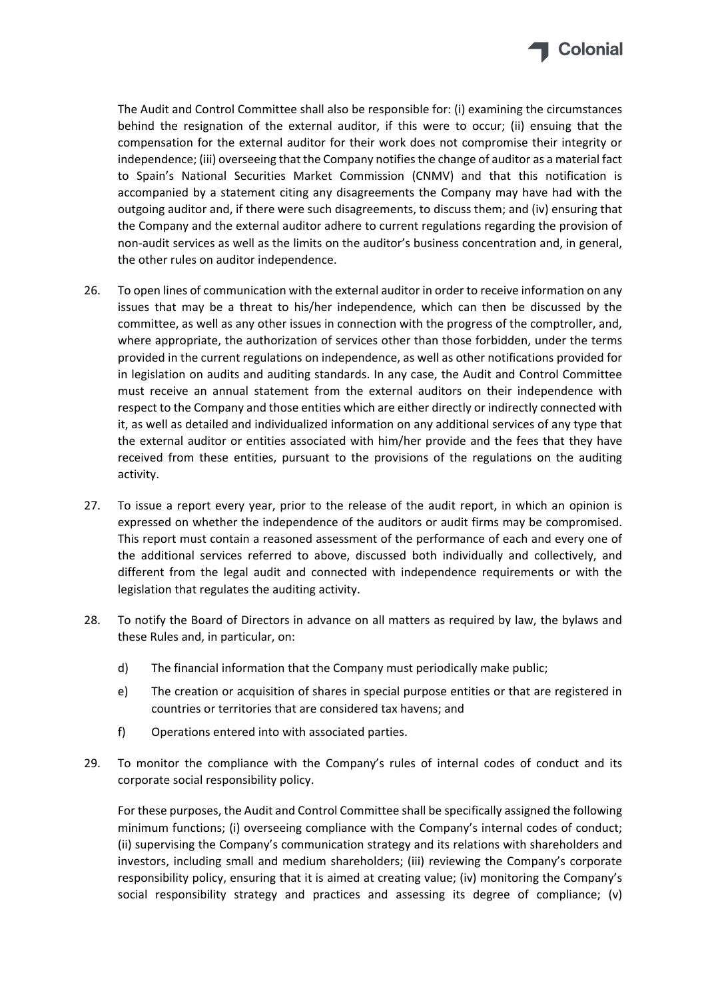

The Audit and Control Committee shall also be responsible for: (i) examining the circumstances behind the resignation of the external auditor, if this were to occur; (ii) ensuing that the compensation for the external auditor for their work does not compromise their integrity or independence; (iii) overseeing that the Company notifiesthe change of auditor as a material fact to Spain's National Securities Market Commission (CNMV) and that this notification is accompanied by a statement citing any disagreements the Company may have had with the outgoing auditor and, if there were such disagreements, to discuss them; and (iv) ensuring that the Company and the external auditor adhere to current regulations regarding the provision of non‐audit services as well as the limits on the auditor's business concentration and, in general, the other rules on auditor independence.

- 26. To open lines of communication with the external auditor in order to receive information on any issues that may be a threat to his/her independence, which can then be discussed by the committee, as well as any other issues in connection with the progress of the comptroller, and, where appropriate, the authorization of services other than those forbidden, under the terms provided in the current regulations on independence, as well as other notifications provided for in legislation on audits and auditing standards. In any case, the Audit and Control Committee must receive an annual statement from the external auditors on their independence with respect to the Company and those entities which are either directly or indirectly connected with it, as well as detailed and individualized information on any additional services of any type that the external auditor or entities associated with him/her provide and the fees that they have received from these entities, pursuant to the provisions of the regulations on the auditing activity.
- 27. To issue a report every year, prior to the release of the audit report, in which an opinion is expressed on whether the independence of the auditors or audit firms may be compromised. This report must contain a reasoned assessment of the performance of each and every one of the additional services referred to above, discussed both individually and collectively, and different from the legal audit and connected with independence requirements or with the legislation that regulates the auditing activity.
- 28. To notify the Board of Directors in advance on all matters as required by law, the bylaws and these Rules and, in particular, on:
	- d) The financial information that the Company must periodically make public;
	- e) The creation or acquisition of shares in special purpose entities or that are registered in countries or territories that are considered tax havens; and
	- f) Operations entered into with associated parties.
- 29. To monitor the compliance with the Company's rules of internal codes of conduct and its corporate social responsibility policy.

For these purposes, the Audit and Control Committee shall be specifically assigned the following minimum functions; (i) overseeing compliance with the Company's internal codes of conduct; (ii) supervising the Company's communication strategy and its relations with shareholders and investors, including small and medium shareholders; (iii) reviewing the Company's corporate responsibility policy, ensuring that it is aimed at creating value; (iv) monitoring the Company's social responsibility strategy and practices and assessing its degree of compliance; (v)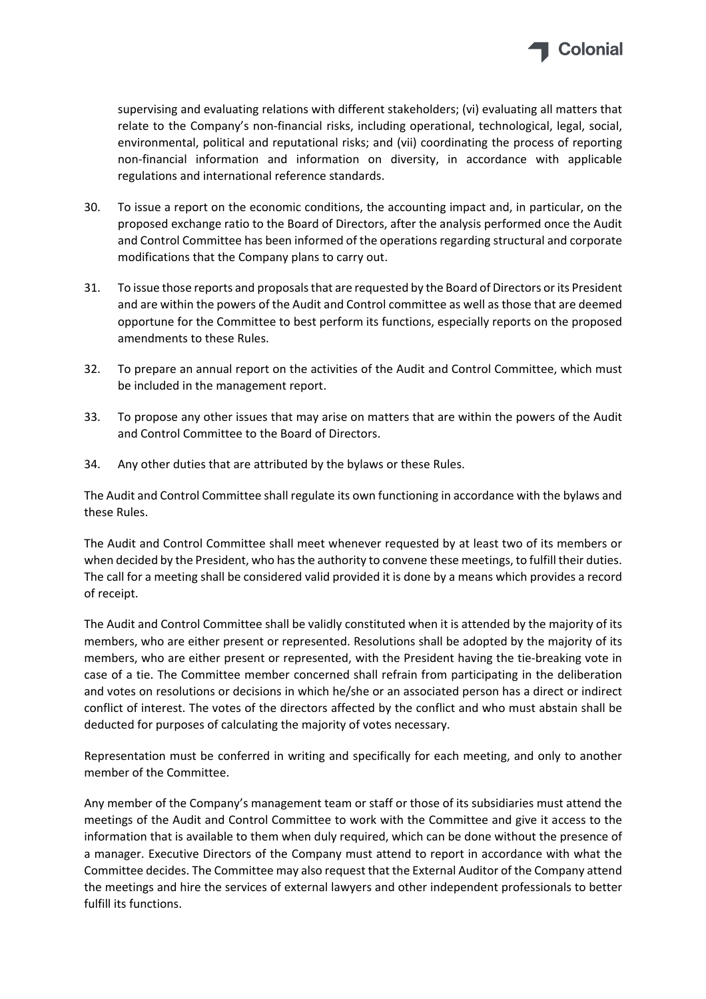

supervising and evaluating relations with different stakeholders; (vi) evaluating all matters that relate to the Company's non‐financial risks, including operational, technological, legal, social, environmental, political and reputational risks; and (vii) coordinating the process of reporting non‐financial information and information on diversity, in accordance with applicable regulations and international reference standards.

- 30. To issue a report on the economic conditions, the accounting impact and, in particular, on the proposed exchange ratio to the Board of Directors, after the analysis performed once the Audit and Control Committee has been informed of the operations regarding structural and corporate modifications that the Company plans to carry out.
- 31. To issue those reports and proposalsthat are requested by the Board of Directors orits President and are within the powers of the Audit and Control committee as well as those that are deemed opportune for the Committee to best perform its functions, especially reports on the proposed amendments to these Rules.
- 32. To prepare an annual report on the activities of the Audit and Control Committee, which must be included in the management report.
- 33. To propose any other issues that may arise on matters that are within the powers of the Audit and Control Committee to the Board of Directors.
- 34. Any other duties that are attributed by the bylaws or these Rules.

The Audit and Control Committee shall regulate its own functioning in accordance with the bylaws and these Rules.

The Audit and Control Committee shall meet whenever requested by at least two of its members or when decided by the President, who has the authority to convene these meetings, to fulfill their duties. The call for a meeting shall be considered valid provided it is done by a means which provides a record of receipt.

The Audit and Control Committee shall be validly constituted when it is attended by the majority of its members, who are either present or represented. Resolutions shall be adopted by the majority of its members, who are either present or represented, with the President having the tie‐breaking vote in case of a tie. The Committee member concerned shall refrain from participating in the deliberation and votes on resolutions or decisions in which he/she or an associated person has a direct or indirect conflict of interest. The votes of the directors affected by the conflict and who must abstain shall be deducted for purposes of calculating the majority of votes necessary.

Representation must be conferred in writing and specifically for each meeting, and only to another member of the Committee.

Any member of the Company's management team or staff or those of its subsidiaries must attend the meetings of the Audit and Control Committee to work with the Committee and give it access to the information that is available to them when duly required, which can be done without the presence of a manager. Executive Directors of the Company must attend to report in accordance with what the Committee decides. The Committee may also request that the External Auditor of the Company attend the meetings and hire the services of external lawyers and other independent professionals to better fulfill its functions.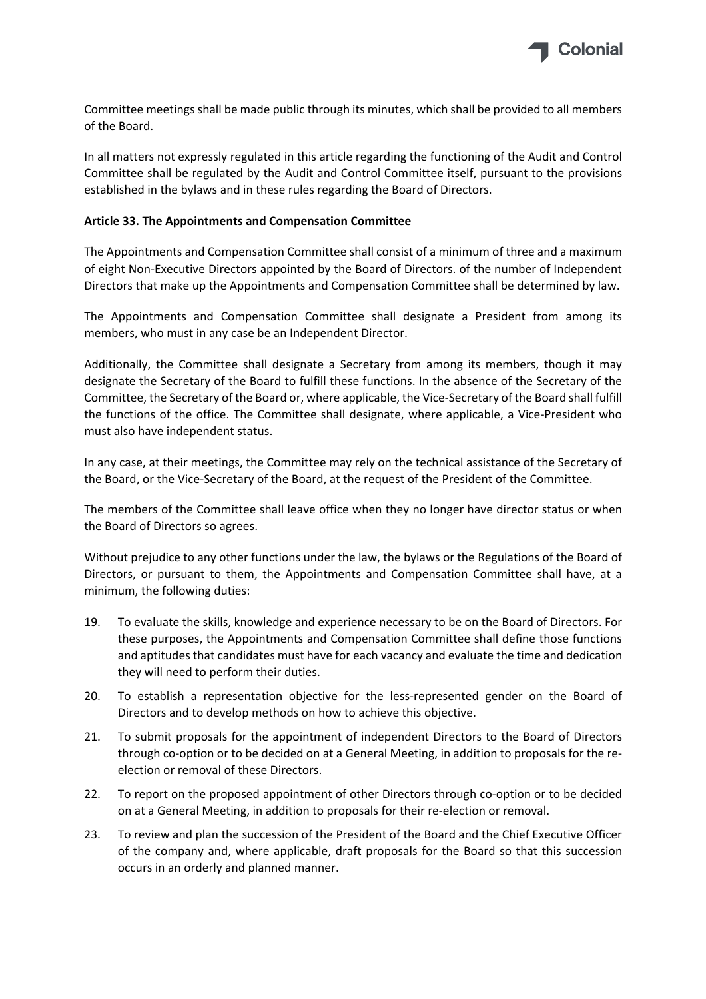

Committee meetings shall be made public through its minutes, which shall be provided to all members of the Board.

In all matters not expressly regulated in this article regarding the functioning of the Audit and Control Committee shall be regulated by the Audit and Control Committee itself, pursuant to the provisions established in the bylaws and in these rules regarding the Board of Directors.

## **Article 33. The Appointments and Compensation Committee**

The Appointments and Compensation Committee shall consist of a minimum of three and a maximum of eight Non‐Executive Directors appointed by the Board of Directors. of the number of Independent Directors that make up the Appointments and Compensation Committee shall be determined by law.

The Appointments and Compensation Committee shall designate a President from among its members, who must in any case be an Independent Director.

Additionally, the Committee shall designate a Secretary from among its members, though it may designate the Secretary of the Board to fulfill these functions. In the absence of the Secretary of the Committee, the Secretary of the Board or, where applicable, the Vice‐Secretary of the Board shall fulfill the functions of the office. The Committee shall designate, where applicable, a Vice‐President who must also have independent status.

In any case, at their meetings, the Committee may rely on the technical assistance of the Secretary of the Board, or the Vice‐Secretary of the Board, at the request of the President of the Committee.

The members of the Committee shall leave office when they no longer have director status or when the Board of Directors so agrees.

Without prejudice to any other functions under the law, the bylaws or the Regulations of the Board of Directors, or pursuant to them, the Appointments and Compensation Committee shall have, at a minimum, the following duties:

- 19. To evaluate the skills, knowledge and experience necessary to be on the Board of Directors. For these purposes, the Appointments and Compensation Committee shall define those functions and aptitudes that candidates must have for each vacancy and evaluate the time and dedication they will need to perform their duties.
- 20. To establish a representation objective for the less-represented gender on the Board of Directors and to develop methods on how to achieve this objective.
- 21. To submit proposals for the appointment of independent Directors to the Board of Directors through co‐option or to be decided on at a General Meeting, in addition to proposals for the re‐ election or removal of these Directors.
- 22. To report on the proposed appointment of other Directors through co-option or to be decided on at a General Meeting, in addition to proposals for their re‐election or removal.
- 23. To review and plan the succession of the President of the Board and the Chief Executive Officer of the company and, where applicable, draft proposals for the Board so that this succession occurs in an orderly and planned manner.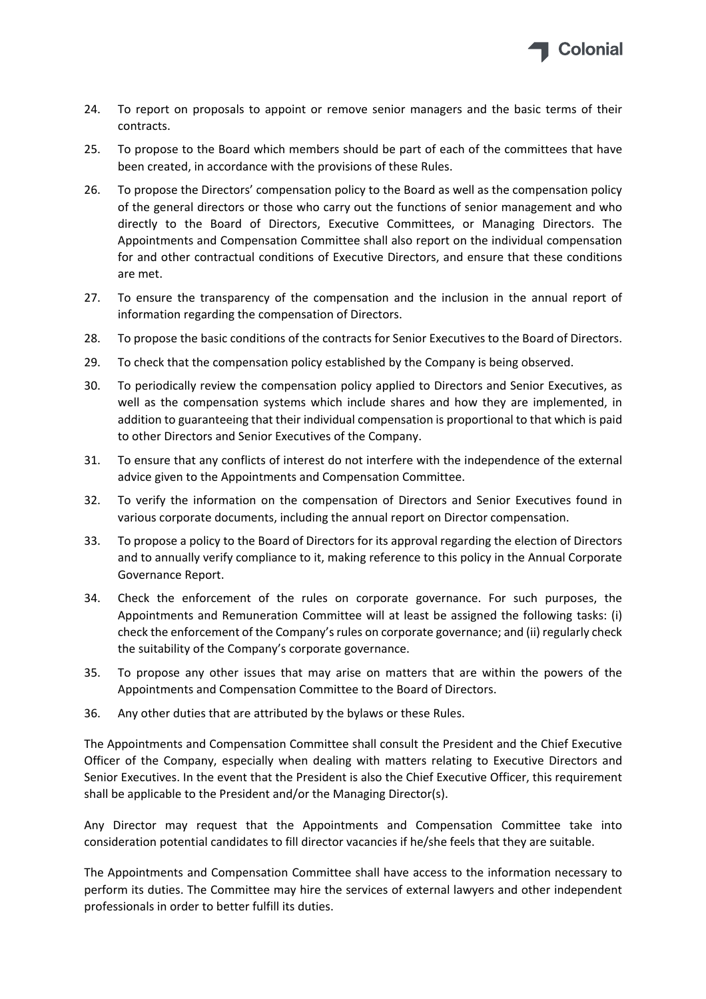

- 24. To report on proposals to appoint or remove senior managers and the basic terms of their contracts.
- 25. To propose to the Board which members should be part of each of the committees that have been created, in accordance with the provisions of these Rules.
- 26. To propose the Directors' compensation policy to the Board as well as the compensation policy of the general directors or those who carry out the functions of senior management and who directly to the Board of Directors, Executive Committees, or Managing Directors. The Appointments and Compensation Committee shall also report on the individual compensation for and other contractual conditions of Executive Directors, and ensure that these conditions are met.
- 27. To ensure the transparency of the compensation and the inclusion in the annual report of information regarding the compensation of Directors.
- 28. To propose the basic conditions of the contracts for Senior Executives to the Board of Directors.
- 29. To check that the compensation policy established by the Company is being observed.
- 30. To periodically review the compensation policy applied to Directors and Senior Executives, as well as the compensation systems which include shares and how they are implemented, in addition to guaranteeing that their individual compensation is proportional to that which is paid to other Directors and Senior Executives of the Company.
- 31. To ensure that any conflicts of interest do not interfere with the independence of the external advice given to the Appointments and Compensation Committee.
- 32. To verify the information on the compensation of Directors and Senior Executives found in various corporate documents, including the annual report on Director compensation.
- 33. To propose a policy to the Board of Directors for its approval regarding the election of Directors and to annually verify compliance to it, making reference to this policy in the Annual Corporate Governance Report.
- 34. Check the enforcement of the rules on corporate governance. For such purposes, the Appointments and Remuneration Committee will at least be assigned the following tasks: (i) check the enforcement of the Company'srules on corporate governance; and (ii) regularly check the suitability of the Company's corporate governance.
- 35. To propose any other issues that may arise on matters that are within the powers of the Appointments and Compensation Committee to the Board of Directors.
- 36. Any other duties that are attributed by the bylaws or these Rules.

The Appointments and Compensation Committee shall consult the President and the Chief Executive Officer of the Company, especially when dealing with matters relating to Executive Directors and Senior Executives. In the event that the President is also the Chief Executive Officer, this requirement shall be applicable to the President and/or the Managing Director(s).

Any Director may request that the Appointments and Compensation Committee take into consideration potential candidates to fill director vacancies if he/she feels that they are suitable.

The Appointments and Compensation Committee shall have access to the information necessary to perform its duties. The Committee may hire the services of external lawyers and other independent professionals in order to better fulfill its duties.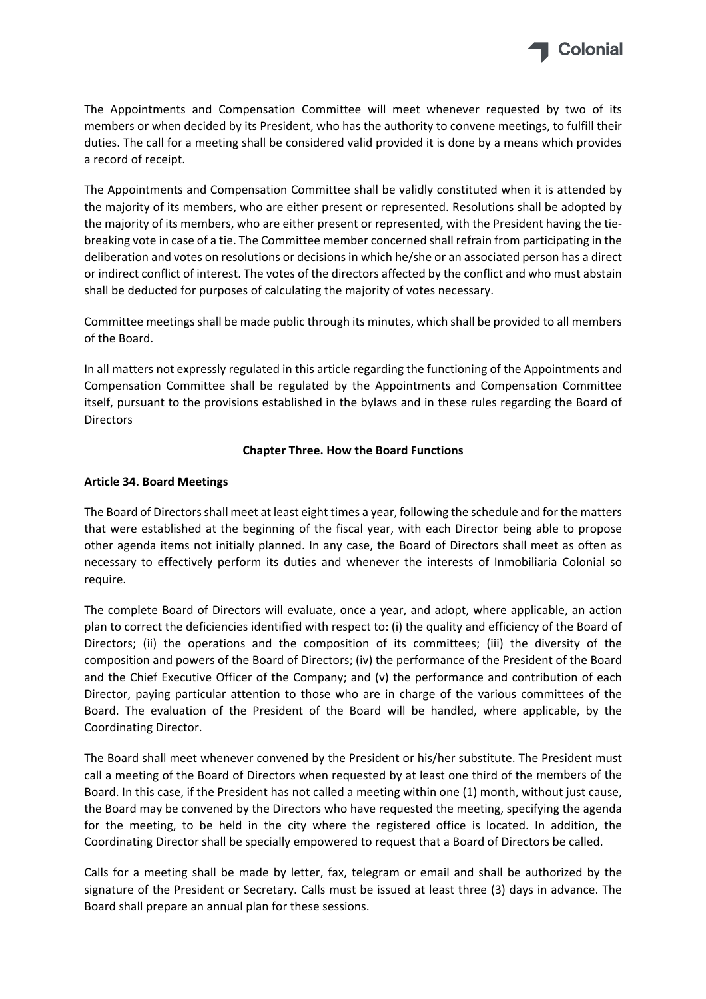

The Appointments and Compensation Committee will meet whenever requested by two of its members or when decided by its President, who has the authority to convene meetings, to fulfill their duties. The call for a meeting shall be considered valid provided it is done by a means which provides a record of receipt.

The Appointments and Compensation Committee shall be validly constituted when it is attended by the majority of its members, who are either present or represented. Resolutions shall be adopted by the majority of its members, who are either present or represented, with the President having the tie‐ breaking vote in case of a tie. The Committee member concerned shall refrain from participating in the deliberation and votes on resolutions or decisions in which he/she or an associated person has a direct or indirect conflict of interest. The votes of the directors affected by the conflict and who must abstain shall be deducted for purposes of calculating the majority of votes necessary.

Committee meetings shall be made public through its minutes, which shall be provided to all members of the Board.

In all matters not expressly regulated in this article regarding the functioning of the Appointments and Compensation Committee shall be regulated by the Appointments and Compensation Committee itself, pursuant to the provisions established in the bylaws and in these rules regarding the Board of **Directors** 

# **Chapter Three. How the Board Functions**

# **Article 34. Board Meetings**

The Board of Directorsshall meet at least eight times a year, following the schedule and for the matters that were established at the beginning of the fiscal year, with each Director being able to propose other agenda items not initially planned. In any case, the Board of Directors shall meet as often as necessary to effectively perform its duties and whenever the interests of Inmobiliaria Colonial so require.

The complete Board of Directors will evaluate, once a year, and adopt, where applicable, an action plan to correct the deficiencies identified with respect to: (i) the quality and efficiency of the Board of Directors; (ii) the operations and the composition of its committees; (iii) the diversity of the composition and powers of the Board of Directors; (iv) the performance of the President of the Board and the Chief Executive Officer of the Company; and (v) the performance and contribution of each Director, paying particular attention to those who are in charge of the various committees of the Board. The evaluation of the President of the Board will be handled, where applicable, by the Coordinating Director.

The Board shall meet whenever convened by the President or his/her substitute. The President must call a meeting of the Board of Directors when requested by at least one third of the members of the Board. In this case, if the President has not called a meeting within one (1) month, without just cause, the Board may be convened by the Directors who have requested the meeting, specifying the agenda for the meeting, to be held in the city where the registered office is located. In addition, the Coordinating Director shall be specially empowered to request that a Board of Directors be called.

Calls for a meeting shall be made by letter, fax, telegram or email and shall be authorized by the signature of the President or Secretary. Calls must be issued at least three (3) days in advance. The Board shall prepare an annual plan for these sessions.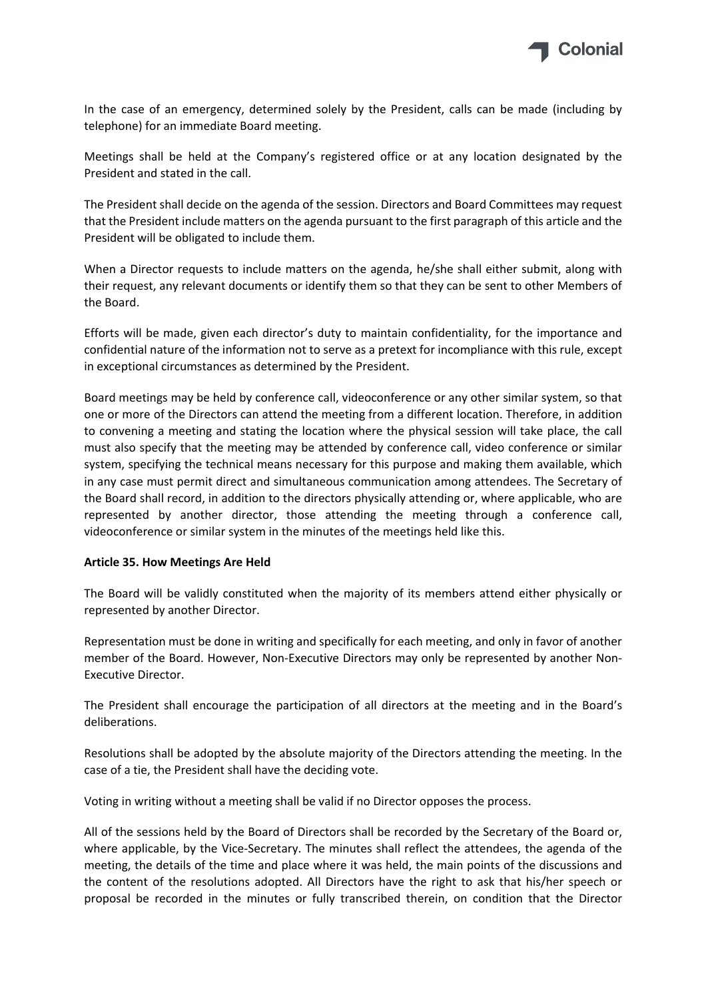

In the case of an emergency, determined solely by the President, calls can be made (including by telephone) for an immediate Board meeting.

Meetings shall be held at the Company's registered office or at any location designated by the President and stated in the call.

The President shall decide on the agenda of the session. Directors and Board Committees may request that the President include matters on the agenda pursuant to the first paragraph of this article and the President will be obligated to include them.

When a Director requests to include matters on the agenda, he/she shall either submit, along with their request, any relevant documents or identify them so that they can be sent to other Members of the Board.

Efforts will be made, given each director's duty to maintain confidentiality, for the importance and confidential nature of the information not to serve as a pretext for incompliance with this rule, except in exceptional circumstances as determined by the President.

Board meetings may be held by conference call, videoconference or any other similar system, so that one or more of the Directors can attend the meeting from a different location. Therefore, in addition to convening a meeting and stating the location where the physical session will take place, the call must also specify that the meeting may be attended by conference call, video conference or similar system, specifying the technical means necessary for this purpose and making them available, which in any case must permit direct and simultaneous communication among attendees. The Secretary of the Board shall record, in addition to the directors physically attending or, where applicable, who are represented by another director, those attending the meeting through a conference call, videoconference or similar system in the minutes of the meetings held like this.

#### **Article 35. How Meetings Are Held**

The Board will be validly constituted when the majority of its members attend either physically or represented by another Director.

Representation must be done in writing and specifically for each meeting, and only in favor of another member of the Board. However, Non-Executive Directors may only be represented by another Non-Executive Director.

The President shall encourage the participation of all directors at the meeting and in the Board's deliberations.

Resolutions shall be adopted by the absolute majority of the Directors attending the meeting. In the case of a tie, the President shall have the deciding vote.

Voting in writing without a meeting shall be valid if no Director opposes the process.

All of the sessions held by the Board of Directors shall be recorded by the Secretary of the Board or, where applicable, by the Vice-Secretary. The minutes shall reflect the attendees, the agenda of the meeting, the details of the time and place where it was held, the main points of the discussions and the content of the resolutions adopted. All Directors have the right to ask that his/her speech or proposal be recorded in the minutes or fully transcribed therein, on condition that the Director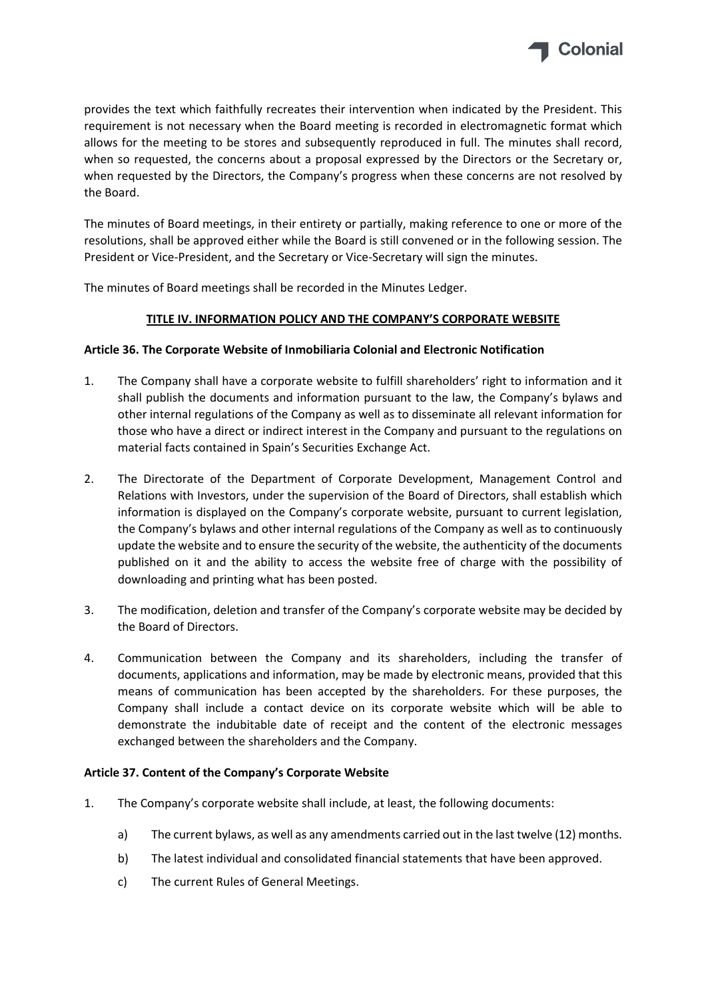

provides the text which faithfully recreates their intervention when indicated by the President. This requirement is not necessary when the Board meeting is recorded in electromagnetic format which allows for the meeting to be stores and subsequently reproduced in full. The minutes shall record, when so requested, the concerns about a proposal expressed by the Directors or the Secretary or, when requested by the Directors, the Company's progress when these concerns are not resolved by the Board.

The minutes of Board meetings, in their entirety or partially, making reference to one or more of the resolutions, shall be approved either while the Board is still convened or in the following session. The President or Vice‐President, and the Secretary or Vice‐Secretary will sign the minutes.

The minutes of Board meetings shall be recorded in the Minutes Ledger.

# **TITLE IV. INFORMATION POLICY AND THE COMPANY'S CORPORATE WEBSITE**

# **Article 36. The Corporate Website of Inmobiliaria Colonial and Electronic Notification**

- 1. The Company shall have a corporate website to fulfill shareholders' right to information and it shall publish the documents and information pursuant to the law, the Company's bylaws and other internal regulations of the Company as well as to disseminate all relevant information for those who have a direct or indirect interest in the Company and pursuant to the regulations on material facts contained in Spain's Securities Exchange Act.
- 2. The Directorate of the Department of Corporate Development, Management Control and Relations with Investors, under the supervision of the Board of Directors, shall establish which information is displayed on the Company's corporate website, pursuant to current legislation, the Company's bylaws and other internal regulations of the Company as well as to continuously update the website and to ensure the security of the website, the authenticity of the documents published on it and the ability to access the website free of charge with the possibility of downloading and printing what has been posted.
- 3. The modification, deletion and transfer of the Company's corporate website may be decided by the Board of Directors.
- 4. Communication between the Company and its shareholders, including the transfer of documents, applications and information, may be made by electronic means, provided that this means of communication has been accepted by the shareholders. For these purposes, the Company shall include a contact device on its corporate website which will be able to demonstrate the indubitable date of receipt and the content of the electronic messages exchanged between the shareholders and the Company.

## **Article 37. Content of the Company's Corporate Website**

- 1. The Company's corporate website shall include, at least, the following documents:
	- a) The current bylaws, as well as any amendments carried out in the last twelve (12) months.
	- b) The latest individual and consolidated financial statements that have been approved.
	- c) The current Rules of General Meetings.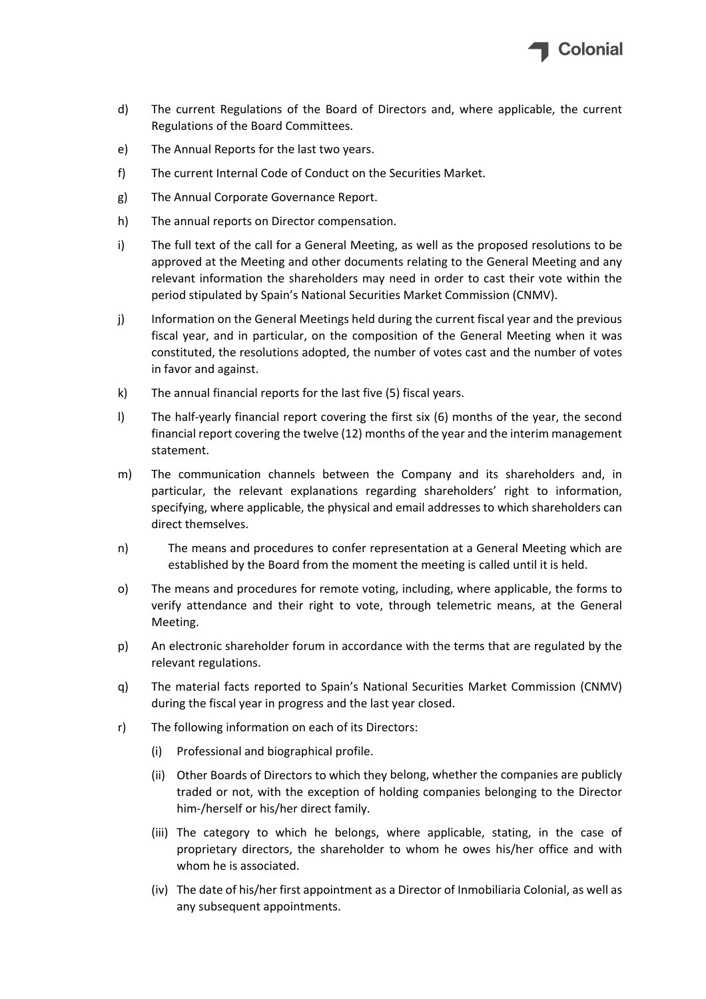

- d) The current Regulations of the Board of Directors and, where applicable, the current Regulations of the Board Committees.
- e) The Annual Reports for the last two years.
- f) The current Internal Code of Conduct on the Securities Market.
- g) The Annual Corporate Governance Report.
- h) The annual reports on Director compensation.
- i) The full text of the call for a General Meeting, as well as the proposed resolutions to be approved at the Meeting and other documents relating to the General Meeting and any relevant information the shareholders may need in order to cast their vote within the period stipulated by Spain's National Securities Market Commission (CNMV).
- j) Information on the General Meetings held during the current fiscal year and the previous fiscal year, and in particular, on the composition of the General Meeting when it was constituted, the resolutions adopted, the number of votes cast and the number of votes in favor and against.
- k) The annual financial reports for the last five (5) fiscal years.
- l) The half‐yearly financial report covering the first six (6) months of the year, the second financial report covering the twelve (12) months of the year and the interim management statement.
- m) The communication channels between the Company and its shareholders and, in particular, the relevant explanations regarding shareholders' right to information, specifying, where applicable, the physical and email addresses to which shareholders can direct themselves.
- n) The means and procedures to confer representation at a General Meeting which are established by the Board from the moment the meeting is called until it is held.
- o) The means and procedures for remote voting, including, where applicable, the forms to verify attendance and their right to vote, through telemetric means, at the General Meeting.
- p) An electronic shareholder forum in accordance with the terms that are regulated by the relevant regulations.
- q) The material facts reported to Spain's National Securities Market Commission (CNMV) during the fiscal year in progress and the last year closed.
- r) The following information on each of its Directors:
	- (i) Professional and biographical profile.
	- (ii) Other Boards of Directors to which they belong, whether the companies are publicly traded or not, with the exception of holding companies belonging to the Director him‐/herself or his/her direct family.
	- (iii) The category to which he belongs, where applicable, stating, in the case of proprietary directors, the shareholder to whom he owes his/her office and with whom he is associated.
	- (iv) The date of his/her first appointment as a Director of Inmobiliaria Colonial, as well as any subsequent appointments.